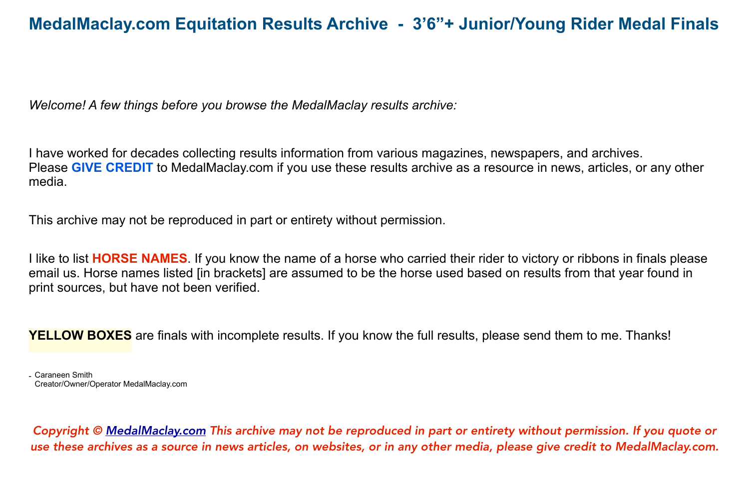*Welcome! A few things before you browse the MedalMaclay results archive:*

I have worked for decades collecting results information from various magazines, newspapers, and archives. Please **GIVE CREDIT** to MedalMaclay.com if you use these results archive as a resource in news, articles, or any other media.

This archive may not be reproduced in part or entirety without permission.

I like to list **HORSE NAMES**. If you know the name of a horse who carried their rider to victory or ribbons in finals please email us. Horse names listed [in brackets] are assumed to be the horse used based on results from that year found in print sources, but have not been verified.

**YELLOW BOXES** are finals with incomplete results. If you know the full results, please send them to me. Thanks!

<sup>-</sup> Caraneen Smith Creator/Owner/Operator MedalMaclay.com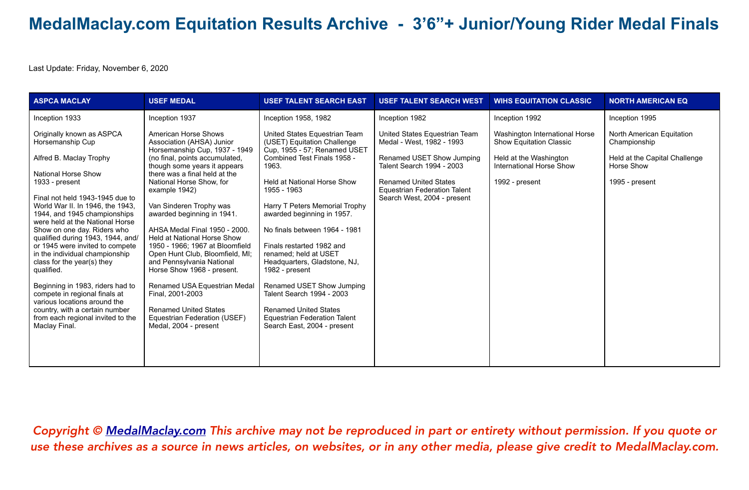Last Update: Friday, November 6, 2020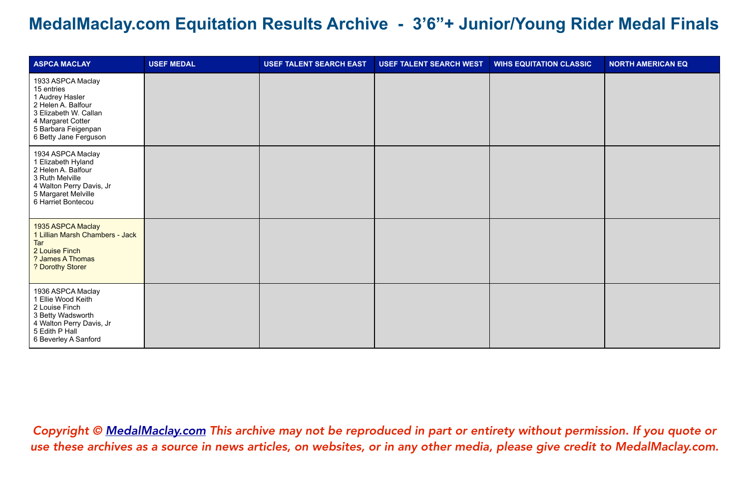| <b>ASPCA MACLAY</b>                                                                                                                                                    | <b>USEF MEDAL</b> | <b>USEF TALENT SEARCH EAST</b> | <b>USEF TALENT SEARCH WEST</b> | <b>WIHS EQUITATION CLASSIC</b> | <b>NORTH AMERICAN EQ</b> |
|------------------------------------------------------------------------------------------------------------------------------------------------------------------------|-------------------|--------------------------------|--------------------------------|--------------------------------|--------------------------|
| 1933 ASPCA Maclay<br>15 entries<br>1 Audrey Hasler<br>2 Helen A. Balfour<br>3 Elizabeth W. Callan<br>4 Margaret Cotter<br>5 Barbara Feigenpan<br>6 Betty Jane Ferguson |                   |                                |                                |                                |                          |
| 1934 ASPCA Maclay<br>1 Elizabeth Hyland<br>2 Helen A. Balfour<br>3 Ruth Melville<br>4 Walton Perry Davis, Jr<br>5 Margaret Melville<br>6 Harriet Bontecou              |                   |                                |                                |                                |                          |
| 1935 ASPCA Maclay<br>1 Lillian Marsh Chambers - Jack<br>Tar<br>2 Louise Finch<br>? James A Thomas<br>? Dorothy Storer                                                  |                   |                                |                                |                                |                          |
| 1936 ASPCA Maclay<br>1 Ellie Wood Keith<br>2 Louise Finch<br>3 Betty Wadsworth<br>4 Walton Perry Davis, Jr<br>5 Edith P Hall<br>6 Beverley A Sanford                   |                   |                                |                                |                                |                          |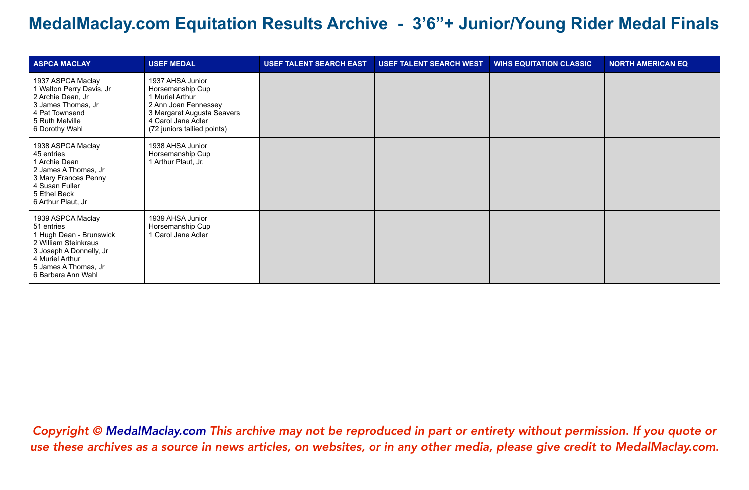| <b>ASPCA MACLAY</b>                                                                                                                                                            | <b>USEF MEDAL</b>                                                                                                                                                  | <b>USEF TALENT SEARCH EAST</b> | <b>USEF TALENT SEARCH WEST</b> | <b>WIHS EQUITATION CLASSIC</b> | <b>NORTH AMERICAN EQ</b> |
|--------------------------------------------------------------------------------------------------------------------------------------------------------------------------------|--------------------------------------------------------------------------------------------------------------------------------------------------------------------|--------------------------------|--------------------------------|--------------------------------|--------------------------|
| 1937 ASPCA Maclay<br>1 Walton Perry Davis, Jr<br>2 Archie Dean, Jr<br>3 James Thomas, Jr<br>4 Pat Townsend<br>5 Ruth Melville<br>6 Dorothy Wahl                                | 1937 AHSA Junior<br>Horsemanship Cup<br>1 Muriel Arthur<br>2 Ann Joan Fennessey<br>3 Margaret Augusta Seavers<br>4 Carol Jane Adler<br>(72 juniors tallied points) |                                |                                |                                |                          |
| 1938 ASPCA Maclay<br>45 entries<br>1 Archie Dean<br>2 James A Thomas, Jr<br>3 Mary Frances Penny<br>4 Susan Fuller<br>5 Ethel Beck<br>6 Arthur Plaut, Jr                       | 1938 AHSA Junior<br>Horsemanship Cup<br>1 Arthur Plaut, Jr.                                                                                                        |                                |                                |                                |                          |
| 1939 ASPCA Maclay<br>51 entries<br>1 Hugh Dean - Brunswick<br>2 William Steinkraus<br>3 Joseph A Donnelly, Jr<br>4 Muriel Arthur<br>5 James A Thomas, Jr<br>6 Barbara Ann Wahl | 1939 AHSA Junior<br>Horsemanship Cup<br>1 Carol Jane Adler                                                                                                         |                                |                                |                                |                          |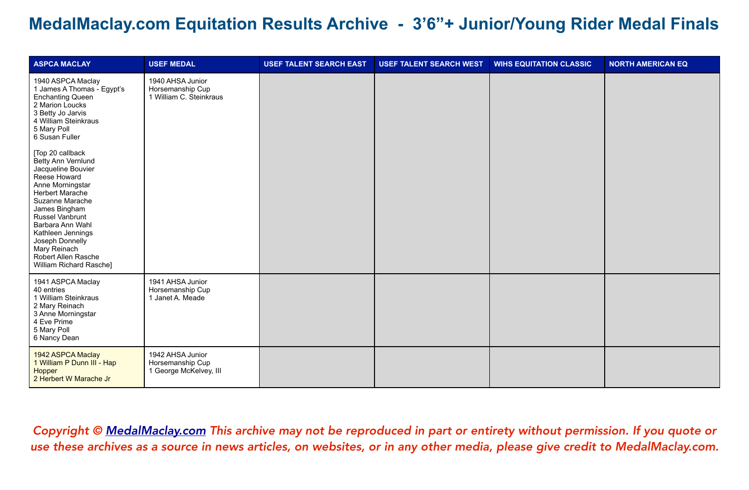| <b>ASPCA MACLAY</b>                                                                                                                                                                                                                                                                                                                                                                                                                                                                            | <b>USEF MEDAL</b>                                               | <b>USEF TALENT SEARCH EAST</b> | <b>USEF TALENT SEARCH WEST</b> | <b>WIHS EQUITATION CLASSIC</b> | <b>NORTH AMERICAN EQ</b> |
|------------------------------------------------------------------------------------------------------------------------------------------------------------------------------------------------------------------------------------------------------------------------------------------------------------------------------------------------------------------------------------------------------------------------------------------------------------------------------------------------|-----------------------------------------------------------------|--------------------------------|--------------------------------|--------------------------------|--------------------------|
| 1940 ASPCA Maclay<br>1 James A Thomas - Egypt's<br><b>Enchanting Queen</b><br>2 Marion Loucks<br>3 Betty Jo Jarvis<br>4 William Steinkraus<br>5 Mary Poll<br>6 Susan Fuller<br>[Top 20 callback<br>Betty Ann Vernlund<br>Jacqueline Bouvier<br>Reese Howard<br>Anne Morningstar<br><b>Herbert Marache</b><br>Suzanne Marache<br>James Bingham<br>Russel Vanbrunt<br>Barbara Ann Wahl<br>Kathleen Jennings<br>Joseph Donnelly<br>Mary Reinach<br>Robert Allen Rasche<br>William Richard Rasche] | 1940 AHSA Junior<br>Horsemanship Cup<br>1 William C. Steinkraus |                                |                                |                                |                          |
| 1941 ASPCA Maclay<br>40 entries<br>1 William Steinkraus<br>2 Mary Reinach<br>3 Anne Morningstar<br>4 Eve Prime<br>5 Mary Poll<br>6 Nancy Dean                                                                                                                                                                                                                                                                                                                                                  | 1941 AHSA Junior<br>Horsemanship Cup<br>1 Janet A. Meade        |                                |                                |                                |                          |
| 1942 ASPCA Maclay<br>1 William P Dunn III - Hap<br>Hopper<br>2 Herbert W Marache Jr                                                                                                                                                                                                                                                                                                                                                                                                            | 1942 AHSA Junior<br>Horsemanship Cup<br>1 George McKelvey, III  |                                |                                |                                |                          |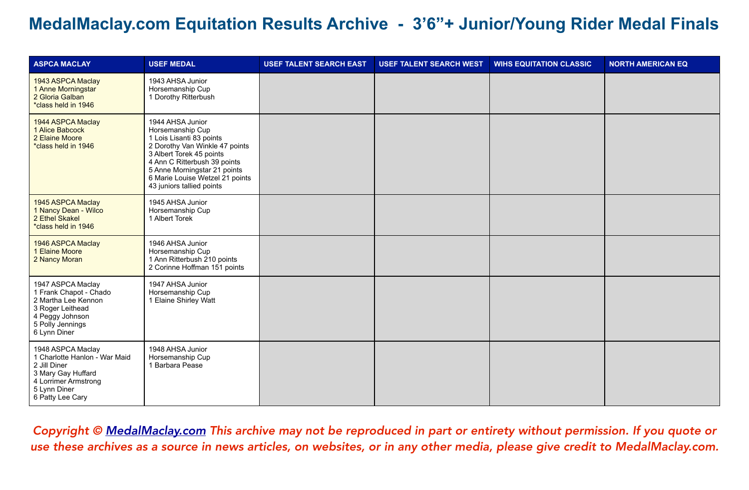| <b>ASPCA MACLAY</b>                                                                                                                                  | <b>USEF MEDAL</b>                                                                                                                                                                                                                                              | <b>USEF TALENT SEARCH EAST</b> | <b>USEF TALENT SEARCH WEST</b> | <b>WIHS EQUITATION CLASSIC</b> | <b>NORTH AMERICAN EQ</b> |
|------------------------------------------------------------------------------------------------------------------------------------------------------|----------------------------------------------------------------------------------------------------------------------------------------------------------------------------------------------------------------------------------------------------------------|--------------------------------|--------------------------------|--------------------------------|--------------------------|
| 1943 ASPCA Maclay<br>1 Anne Morningstar<br>2 Gloria Galban<br>*class held in 1946                                                                    | 1943 AHSA Junior<br>Horsemanship Cup<br>1 Dorothy Ritterbush                                                                                                                                                                                                   |                                |                                |                                |                          |
| 1944 ASPCA Maclay<br>1 Alice Babcock<br>2 Elaine Moore<br>*class held in 1946                                                                        | 1944 AHSA Junior<br>Horsemanship Cup<br>1 Lois Lisanti 83 points<br>2 Dorothy Van Winkle 47 points<br>3 Albert Torek 45 points<br>4 Ann C Ritterbush 39 points<br>5 Anne Morningstar 21 points<br>6 Marie Louise Wetzel 21 points<br>43 juniors tallied points |                                |                                |                                |                          |
| 1945 ASPCA Maclay<br>1 Nancy Dean - Wilco<br>2 Ethel Skakel<br>*class held in 1946                                                                   | 1945 AHSA Junior<br>Horsemanship Cup<br>1 Albert Torek                                                                                                                                                                                                         |                                |                                |                                |                          |
| 1946 ASPCA Maclay<br>1 Elaine Moore<br>2 Nancy Moran                                                                                                 | 1946 AHSA Junior<br>Horsemanship Cup<br>1 Ann Ritterbush 210 points<br>2 Corinne Hoffman 151 points                                                                                                                                                            |                                |                                |                                |                          |
| 1947 ASPCA Maclay<br>1 Frank Chapot - Chado<br>2 Martha Lee Kennon<br>3 Roger Leithead<br>4 Peggy Johnson<br>5 Polly Jennings<br>6 Lynn Diner        | 1947 AHSA Junior<br>Horsemanship Cup<br>1 Elaine Shirley Watt                                                                                                                                                                                                  |                                |                                |                                |                          |
| 1948 ASPCA Maclay<br>1 Charlotte Hanlon - War Maid<br>2 Jill Diner<br>3 Mary Gay Huffard<br>4 Lorrimer Armstrong<br>5 Lynn Diner<br>6 Patty Lee Cary | 1948 AHSA Junior<br>Horsemanship Cup<br>1 Barbara Pease                                                                                                                                                                                                        |                                |                                |                                |                          |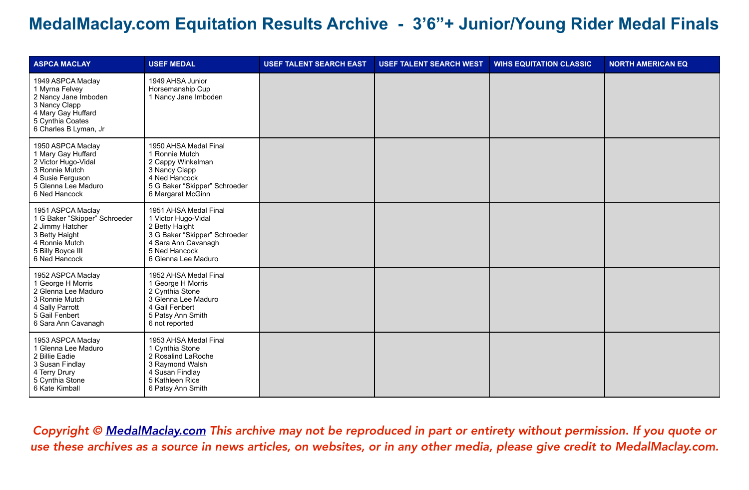| <b>ASPCA MACLAY</b>                                                                                                                             | <b>USEF MEDAL</b>                                                                                                                                              | <b>USEF TALENT SEARCH EAST</b> | <b>USEF TALENT SEARCH WEST</b> | <b>WIHS EQUITATION CLASSIC</b> | <b>NORTH AMERICAN EQ</b> |
|-------------------------------------------------------------------------------------------------------------------------------------------------|----------------------------------------------------------------------------------------------------------------------------------------------------------------|--------------------------------|--------------------------------|--------------------------------|--------------------------|
| 1949 ASPCA Maclay<br>1 Myrna Felvey<br>2 Nancy Jane Imboden<br>3 Nancy Clapp<br>4 Mary Gay Huffard<br>5 Cynthia Coates<br>6 Charles B Lyman, Jr | 1949 AHSA Junior<br>Horsemanship Cup<br>1 Nancy Jane Imboden                                                                                                   |                                |                                |                                |                          |
| 1950 ASPCA Maclay<br>1 Mary Gay Huffard<br>2 Victor Hugo-Vidal<br>3 Ronnie Mutch<br>4 Susie Ferguson<br>5 Glenna Lee Maduro<br>6 Ned Hancock    | 1950 AHSA Medal Final<br>1 Ronnie Mutch<br>2 Cappy Winkelman<br>3 Nancy Clapp<br>4 Ned Hancock<br>5 G Baker "Skipper" Schroeder<br>6 Margaret McGinn           |                                |                                |                                |                          |
| 1951 ASPCA Maclay<br>1 G Baker "Skipper" Schroeder<br>2 Jimmy Hatcher<br>3 Betty Haight<br>4 Ronnie Mutch<br>5 Billy Boyce III<br>6 Ned Hancock | 1951 AHSA Medal Final<br>1 Victor Hugo-Vidal<br>2 Betty Haight<br>3 G Baker "Skipper" Schroeder<br>4 Sara Ann Cavanagh<br>5 Ned Hancock<br>6 Glenna Lee Maduro |                                |                                |                                |                          |
| 1952 ASPCA Maclay<br>1 George H Morris<br>2 Glenna Lee Maduro<br>3 Ronnie Mutch<br>4 Sally Parrott<br>5 Gail Fenbert<br>6 Sara Ann Cavanagh     | 1952 AHSA Medal Final<br>1 George H Morris<br>2 Cynthia Stone<br>3 Glenna Lee Maduro<br>4 Gail Fenbert<br>5 Patsy Ann Smith<br>6 not reported                  |                                |                                |                                |                          |
| 1953 ASPCA Maclay<br>1 Glenna Lee Maduro<br>2 Billie Eadie<br>3 Susan Findlay<br>4 Terry Drury<br>5 Cynthia Stone<br>6 Kate Kimball             | 1953 AHSA Medal Final<br>1 Cynthia Stone<br>2 Rosalind LaRoche<br>3 Raymond Walsh<br>4 Susan Findlay<br>5 Kathleen Rice<br>6 Patsy Ann Smith                   |                                |                                |                                |                          |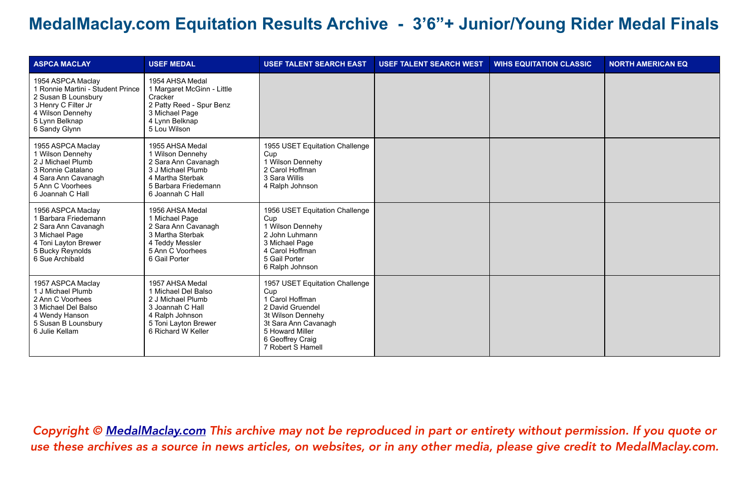| <b>ASPCA MACLAY</b>                                                                                                                                         | <b>USEF MEDAL</b>                                                                                                                                | <b>USEF TALENT SEARCH EAST</b>                                                                                                                                                        | <b>USEF TALENT SEARCH WEST</b> | <b>WIHS EQUITATION CLASSIC</b> | <b>NORTH AMERICAN EQ</b> |
|-------------------------------------------------------------------------------------------------------------------------------------------------------------|--------------------------------------------------------------------------------------------------------------------------------------------------|---------------------------------------------------------------------------------------------------------------------------------------------------------------------------------------|--------------------------------|--------------------------------|--------------------------|
| 1954 ASPCA Maclay<br>1 Ronnie Martini - Student Prince<br>2 Susan B Lounsbury<br>3 Henry C Filter Jr<br>4 Wilson Dennehy<br>5 Lynn Belknap<br>6 Sandy Glynn | 1954 AHSA Medal<br>1 Margaret McGinn - Little<br>Cracker<br>2 Patty Reed - Spur Benz<br>3 Michael Page<br>4 Lynn Belknap<br>5 Lou Wilson         |                                                                                                                                                                                       |                                |                                |                          |
| 1955 ASPCA Maclay<br>1 Wilson Dennehy<br>2 J Michael Plumb<br>3 Ronnie Catalano<br>4 Sara Ann Cavanagh<br>5 Ann C Voorhees<br>6 Joannah C Hall              | 1955 AHSA Medal<br>1 Wilson Dennehy<br>2 Sara Ann Cavanagh<br>3 J Michael Plumb<br>4 Martha Sterbak<br>5 Barbara Friedemann<br>6 Joannah C Hall  | 1955 USET Equitation Challenge<br>Cup<br>1 Wilson Dennehy<br>2 Carol Hoffman<br>3 Sara Willis<br>4 Ralph Johnson                                                                      |                                |                                |                          |
| 1956 ASPCA Maclay<br>1 Barbara Friedemann<br>2 Sara Ann Cavanagh<br>3 Michael Page<br>4 Toni Layton Brewer<br>5 Bucky Reynolds<br>6 Sue Archibald           | 1956 AHSA Medal<br>1 Michael Page<br>2 Sara Ann Cavanagh<br>3 Martha Sterbak<br>4 Teddy Messler<br>5 Ann C Voorhees<br>6 Gail Porter             | 1956 USET Equitation Challenge<br>Cup<br>1 Wilson Dennehy<br>2 John Luhmann<br>3 Michael Page<br>4 Carol Hoffman<br>5 Gail Porter<br>6 Ralph Johnson                                  |                                |                                |                          |
| 1957 ASPCA Maclay<br>1 J Michael Plumb<br>2 Ann C Voorhees<br>3 Michael Del Balso<br>4 Wendy Hanson<br>5 Susan B Lounsbury<br>6 Julie Kellam                | 1957 AHSA Medal<br>1 Michael Del Balso<br>2 J Michael Plumb<br>3 Joannah C Hall<br>4 Ralph Johnson<br>5 Toni Layton Brewer<br>6 Richard W Keller | 1957 USET Equitation Challenge<br>Cup<br>1 Carol Hoffman<br>2 David Gruendel<br>3t Wilson Dennehy<br>3t Sara Ann Cavanagh<br>5 Howard Miller<br>6 Geoffrey Craig<br>7 Robert S Hamell |                                |                                |                          |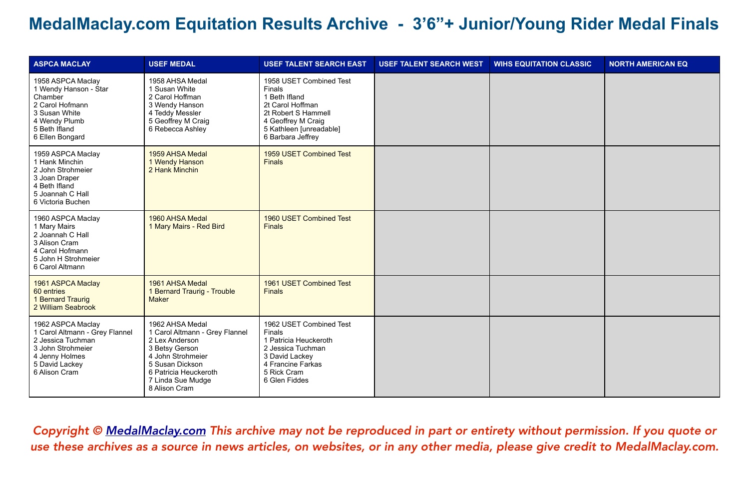| <b>ASPCA MACLAY</b>                                                                                                                                | <b>USEF MEDAL</b>                                                                                                                                                                            | <b>USEF TALENT SEARCH EAST</b>                                                                                                                                      | <b>USEF TALENT SEARCH WEST</b> | <b>WIHS EQUITATION CLASSIC</b> | <b>NORTH AMERICAN EQ</b> |
|----------------------------------------------------------------------------------------------------------------------------------------------------|----------------------------------------------------------------------------------------------------------------------------------------------------------------------------------------------|---------------------------------------------------------------------------------------------------------------------------------------------------------------------|--------------------------------|--------------------------------|--------------------------|
| 1958 ASPCA Maclay<br>1 Wendy Hanson - Star<br>Chamber<br>2 Carol Hofmann<br>3 Susan White<br>4 Wendy Plumb<br>5 Beth Ifland<br>6 Ellen Bongard     | 1958 AHSA Medal<br>1 Susan White<br>2 Carol Hoffman<br>3 Wendy Hanson<br>4 Teddy Messler<br>5 Geoffrey M Craig<br>6 Rebecca Ashley                                                           | 1958 USET Combined Test<br>Finals<br>1 Beth Ifland<br>2t Carol Hoffman<br>2t Robert S Hammell<br>4 Geoffrey M Craig<br>5 Kathleen [unreadable]<br>6 Barbara Jeffrey |                                |                                |                          |
| 1959 ASPCA Maclay<br>1 Hank Minchin<br>2 John Strohmeier<br>3 Joan Draper<br>4 Beth Ifland<br>5 Joannah C Hall<br>6 Victoria Buchen                | 1959 AHSA Medal<br>1 Wendy Hanson<br>2 Hank Minchin                                                                                                                                          | 1959 USET Combined Test<br><b>Finals</b>                                                                                                                            |                                |                                |                          |
| 1960 ASPCA Maclay<br>1 Mary Mairs<br>2 Joannah C Hall<br>3 Alison Cram<br>4 Carol Hofmann<br>5 John H Strohmeier<br>6 Carol Altmann                | 1960 AHSA Medal<br>1 Mary Mairs - Red Bird                                                                                                                                                   | 1960 USET Combined Test<br><b>Finals</b>                                                                                                                            |                                |                                |                          |
| 1961 ASPCA Maclay<br>60 entries<br>1 Bernard Traurig<br>2 William Seabrook                                                                         | 1961 AHSA Medal<br>1 Bernard Traurig - Trouble<br><b>Maker</b>                                                                                                                               | 1961 USET Combined Test<br><b>Finals</b>                                                                                                                            |                                |                                |                          |
| 1962 ASPCA Maclay<br>1 Carol Altmann - Grey Flannel<br>2 Jessica Tuchman<br>3 John Strohmeier<br>4 Jenny Holmes<br>5 David Lackey<br>6 Alison Cram | 1962 AHSA Medal<br>1 Carol Altmann - Grey Flannel<br>2 Lex Anderson<br>3 Betsy Gerson<br>4 John Strohmeier<br>5 Susan Dickson<br>6 Patricia Heuckeroth<br>7 Linda Sue Mudge<br>8 Alison Cram | 1962 USET Combined Test<br>Finals<br>1 Patricia Heuckeroth<br>2 Jessica Tuchman<br>3 David Lackey<br>4 Francine Farkas<br>5 Rick Cram<br>6 Glen Fiddes              |                                |                                |                          |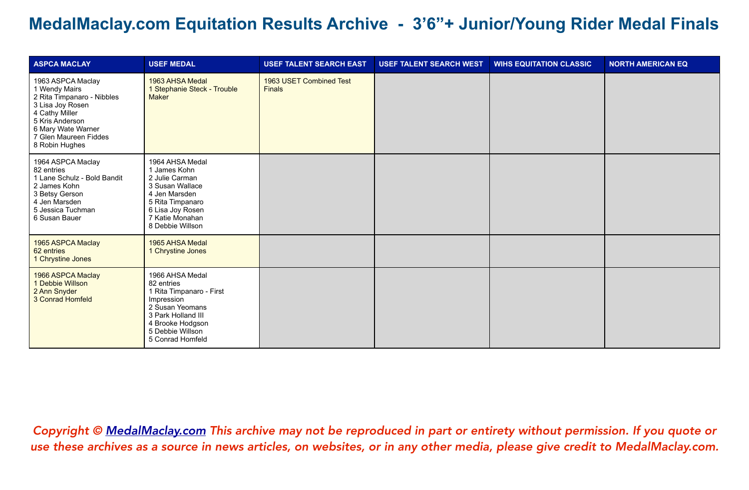| <b>ASPCA MACLAY</b>                                                                                                                                                                        | <b>USEF MEDAL</b>                                                                                                                                                            | <b>USEF TALENT SEARCH EAST</b>           | <b>USEF TALENT SEARCH WEST</b> | <b>WIHS EQUITATION CLASSIC</b> | <b>NORTH AMERICAN EQ</b> |
|--------------------------------------------------------------------------------------------------------------------------------------------------------------------------------------------|------------------------------------------------------------------------------------------------------------------------------------------------------------------------------|------------------------------------------|--------------------------------|--------------------------------|--------------------------|
| 1963 ASPCA Maclay<br>1 Wendy Mairs<br>2 Rita Timpanaro - Nibbles<br>3 Lisa Joy Rosen<br>4 Cathy Miller<br>5 Kris Anderson<br>6 Mary Wate Warner<br>7 Glen Maureen Fiddes<br>8 Robin Hughes | 1963 AHSA Medal<br>1 Stephanie Steck - Trouble<br><b>Maker</b>                                                                                                               | 1963 USET Combined Test<br><b>Finals</b> |                                |                                |                          |
| 1964 ASPCA Maclay<br>82 entries<br>1 Lane Schulz - Bold Bandit<br>2 James Kohn<br>3 Betsy Gerson<br>4 Jen Marsden<br>5 Jessica Tuchman<br>6 Susan Bauer                                    | 1964 AHSA Medal<br>1 James Kohn<br>2 Julie Carman<br>3 Susan Wallace<br>4 Jen Marsden<br>5 Rita Timpanaro<br>6 Lisa Joy Rosen<br>7 Katie Monahan<br>8 Debbie Willson         |                                          |                                |                                |                          |
| 1965 ASPCA Maclay<br>62 entries<br>1 Chrystine Jones                                                                                                                                       | 1965 AHSA Medal<br>1 Chrystine Jones                                                                                                                                         |                                          |                                |                                |                          |
| 1966 ASPCA Maclay<br>1 Debbie Willson<br>2 Ann Snyder<br>3 Conrad Homfeld                                                                                                                  | 1966 AHSA Medal<br>82 entries<br>1 Rita Timpanaro - First<br>Impression<br>2 Susan Yeomans<br>3 Park Holland III<br>4 Brooke Hodgson<br>5 Debbie Willson<br>5 Conrad Homfeld |                                          |                                |                                |                          |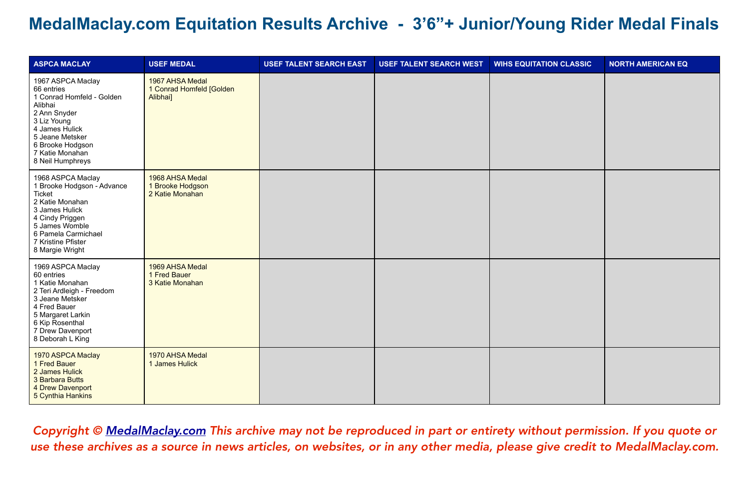| <b>ASPCA MACLAY</b>                                                                                                                                                                                    | <b>USEF MEDAL</b>                                       | <b>USEF TALENT SEARCH EAST</b> | <b>USEF TALENT SEARCH WEST</b> | <b>WIHS EQUITATION CLASSIC</b> | <b>NORTH AMERICAN EQ</b> |
|--------------------------------------------------------------------------------------------------------------------------------------------------------------------------------------------------------|---------------------------------------------------------|--------------------------------|--------------------------------|--------------------------------|--------------------------|
| 1967 ASPCA Maclay<br>66 entries<br>1 Conrad Homfeld - Golden<br>Alibhai<br>2 Ann Snyder<br>3 Liz Young<br>4 James Hulick<br>5 Jeane Metsker<br>6 Brooke Hodgson<br>7 Katie Monahan<br>8 Neil Humphreys | 1967 AHSA Medal<br>1 Conrad Homfeld [Golden<br>Alibhai] |                                |                                |                                |                          |
| 1968 ASPCA Maclay<br>1 Brooke Hodgson - Advance<br>Ticket<br>2 Katie Monahan<br>3 James Hulick<br>4 Cindy Priggen<br>5 James Womble<br>6 Pamela Carmichael<br>7 Kristine Pfister<br>8 Margie Wright    | 1968 AHSA Medal<br>1 Brooke Hodgson<br>2 Katie Monahan  |                                |                                |                                |                          |
| 1969 ASPCA Maclay<br>60 entries<br>1 Katie Monahan<br>2 Teri Ardleigh - Freedom<br>3 Jeane Metsker<br>4 Fred Bauer<br>5 Margaret Larkin<br>6 Kip Rosenthal<br>7 Drew Davenport<br>8 Deborah L King     | 1969 AHSA Medal<br>1 Fred Bauer<br>3 Katie Monahan      |                                |                                |                                |                          |
| 1970 ASPCA Maclay<br>1 Fred Bauer<br>2 James Hulick<br>3 Barbara Butts<br>4 Drew Davenport<br>5 Cynthia Hankins                                                                                        | 1970 AHSA Medal<br>1 James Hulick                       |                                |                                |                                |                          |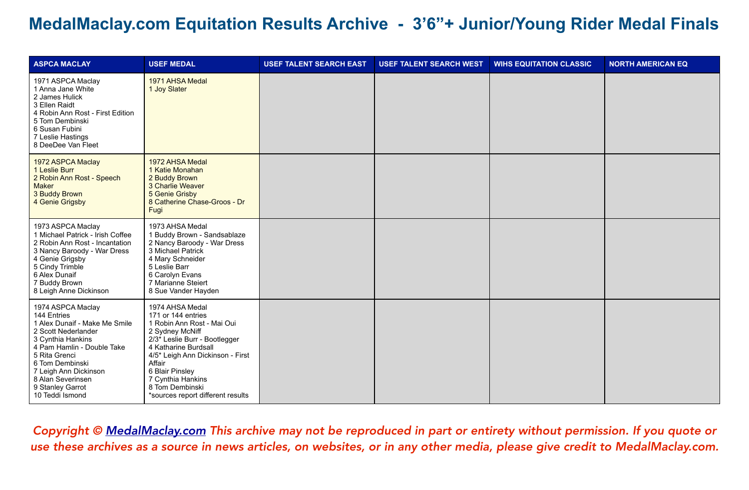| <b>ASPCA MACLAY</b>                                                                                                                                                                                                                                                  | <b>USEF MEDAL</b>                                                                                                                                                                                                                                                                                         | <b>USEF TALENT SEARCH EAST</b> | <b>USEF TALENT SEARCH WEST</b> | <b>WIHS EQUITATION CLASSIC</b> | <b>NORTH AMERICAN EQ</b> |
|----------------------------------------------------------------------------------------------------------------------------------------------------------------------------------------------------------------------------------------------------------------------|-----------------------------------------------------------------------------------------------------------------------------------------------------------------------------------------------------------------------------------------------------------------------------------------------------------|--------------------------------|--------------------------------|--------------------------------|--------------------------|
| 1971 ASPCA Maclay<br>1 Anna Jane White<br>2 James Hulick<br>3 Ellen Raidt<br>4 Robin Ann Rost - First Edition<br>5 Tom Dembinski<br>6 Susan Fubini<br>7 Leslie Hastings<br>8 DeeDee Van Fleet                                                                        | 1971 AHSA Medal<br>1 Joy Slater                                                                                                                                                                                                                                                                           |                                |                                |                                |                          |
| 1972 ASPCA Maclay<br>1 Leslie Burr<br>2 Robin Ann Rost - Speech<br><b>Maker</b><br>3 Buddy Brown<br>4 Genie Grigsby                                                                                                                                                  | 1972 AHSA Medal<br>1 Katie Monahan<br>2 Buddy Brown<br>3 Charlie Weaver<br>5 Genie Grisby<br>8 Catherine Chase-Groos - Dr<br>Fugi                                                                                                                                                                         |                                |                                |                                |                          |
| 1973 ASPCA Maclay<br>1 Michael Patrick - Irish Coffee<br>2 Robin Ann Rost - Incantation<br>3 Nancy Baroody - War Dress<br>4 Genie Grigsby<br>5 Cindy Trimble<br>6 Alex Dunaif<br>7 Buddy Brown<br>8 Leigh Anne Dickinson                                             | 1973 AHSA Medal<br>1 Buddy Brown - Sandsablaze<br>2 Nancy Baroody - War Dress<br>3 Michael Patrick<br>4 Mary Schneider<br>5 Leslie Barr<br>6 Carolyn Evans<br>7 Marianne Steiert<br>8 Sue Vander Hayden                                                                                                   |                                |                                |                                |                          |
| 1974 ASPCA Maclay<br>144 Entries<br>1 Alex Dunaif - Make Me Smile<br>2 Scott Nederlander<br>3 Cynthia Hankins<br>4 Pam Hamlin - Double Take<br>5 Rita Grenci<br>6 Tom Dembinski<br>7 Leigh Ann Dickinson<br>8 Alan Severinsen<br>9 Stanley Garrot<br>10 Teddi Ismond | 1974 AHSA Medal<br>171 or 144 entries<br>1 Robin Ann Rost - Mai Oui<br>2 Sydney McNiff<br>2/3 <sup>*</sup> Leslie Burr - Bootlegger<br>4 Katharine Burdsall<br>4/5* Leigh Ann Dickinson - First<br>Affair<br>6 Blair Pinsley<br>7 Cynthia Hankins<br>8 Tom Dembinski<br>*sources report different results |                                |                                |                                |                          |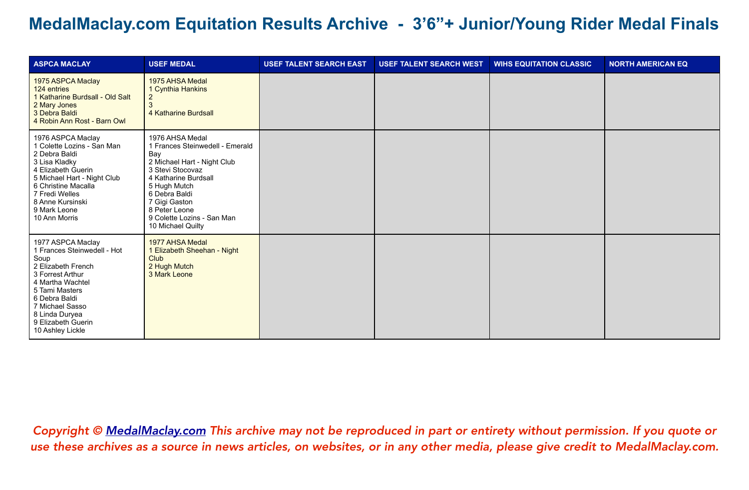| <b>ASPCA MACLAY</b>                                                                                                                                                                                                                      | <b>USEF MEDAL</b>                                                                                                                                                                                                                                          | <b>USEF TALENT SEARCH EAST</b> | <b>USEF TALENT SEARCH WEST</b> | <b>WIHS EQUITATION CLASSIC</b> | <b>NORTH AMERICAN EQ</b> |
|------------------------------------------------------------------------------------------------------------------------------------------------------------------------------------------------------------------------------------------|------------------------------------------------------------------------------------------------------------------------------------------------------------------------------------------------------------------------------------------------------------|--------------------------------|--------------------------------|--------------------------------|--------------------------|
| 1975 ASPCA Maclay<br>124 entries<br>1 Katharine Burdsall - Old Salt<br>2 Mary Jones<br>3 Debra Baldi<br>4 Robin Ann Rost - Barn Owl                                                                                                      | 1975 AHSA Medal<br>1 Cynthia Hankins<br>$\overline{2}$<br>4 Katharine Burdsall                                                                                                                                                                             |                                |                                |                                |                          |
| 1976 ASPCA Maclay<br>1 Colette Lozins - San Man<br>2 Debra Baldi<br>3 Lisa Kladky<br>4 Elizabeth Guerin<br>5 Michael Hart - Night Club<br>6 Christine Macalla<br>7 Fredi Welles<br>8 Anne Kursinski<br>9 Mark Leone<br>10 Ann Morris     | 1976 AHSA Medal<br>1 Frances Steinwedell - Emerald<br>Bay<br>2 Michael Hart - Night Club<br>3 Stevi Stocovaz<br>4 Katharine Burdsall<br>5 Hugh Mutch<br>6 Debra Baldi<br>7 Gigi Gaston<br>8 Peter Leone<br>9 Colette Lozins - San Man<br>10 Michael Quilty |                                |                                |                                |                          |
| 1977 ASPCA Maclay<br>1 Frances Steinwedell - Hot<br>Soup<br>2 Elizabeth French<br>3 Forrest Arthur<br>4 Martha Wachtel<br>5 Tami Masters<br>6 Debra Baldi<br>7 Michael Sasso<br>8 Linda Duryea<br>9 Elizabeth Guerin<br>10 Ashley Lickle | 1977 AHSA Medal<br>1 Elizabeth Sheehan - Night<br><b>Club</b><br>2 Hugh Mutch<br>3 Mark Leone                                                                                                                                                              |                                |                                |                                |                          |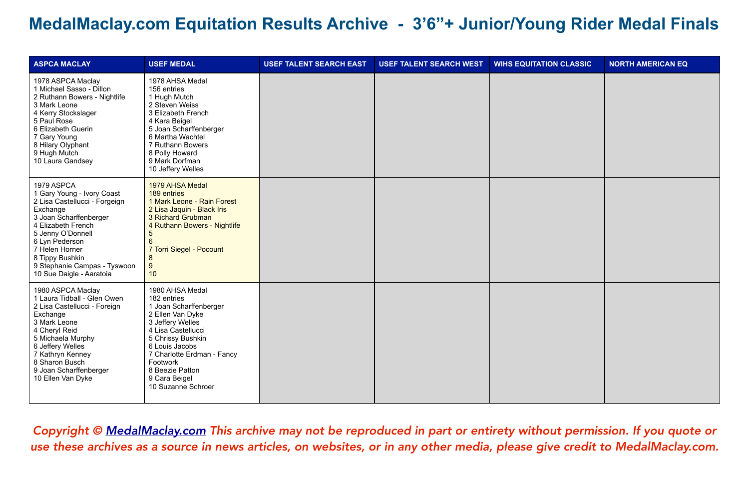| <b>ASPCA MACLAY</b>                                                                                                                                                                                                                                                           | <b>USEF MEDAL</b>                                                                                                                                                                                                                                                 | <b>USEF TALENT SEARCH EAST</b> | <b>USEF TALENT SEARCH WEST</b> | <b>WIHS EQUITATION CLASSIC</b> | <b>NORTH AMERICAN EQ</b> |
|-------------------------------------------------------------------------------------------------------------------------------------------------------------------------------------------------------------------------------------------------------------------------------|-------------------------------------------------------------------------------------------------------------------------------------------------------------------------------------------------------------------------------------------------------------------|--------------------------------|--------------------------------|--------------------------------|--------------------------|
| 1978 ASPCA Maclay<br>1 Michael Sasso - Dillon<br>2 Ruthann Bowers - Nightlife<br>3 Mark Leone<br>4 Kerry Stockslager<br>5 Paul Rose<br>6 Elizabeth Guerin<br>7 Gary Young<br>8 Hilary Olyphant<br>9 Hugh Mutch<br>10 Laura Gandsey                                            | 1978 AHSA Medal<br>156 entries<br>1 Hugh Mutch<br>2 Steven Weiss<br>3 Elizabeth French<br>4 Kara Beigel<br>5 Joan Scharffenberger<br>6 Martha Wachtel<br>7 Ruthann Bowers<br>8 Polly Howard<br>9 Mark Dorfman<br>10 Jeffery Welles                                |                                |                                |                                |                          |
| 1979 ASPCA<br>1 Gary Young - Ivory Coast<br>2 Lisa Castellucci - Forgeign<br>Exchange<br>3 Joan Scharffenberger<br>4 Elizabeth French<br>5 Jenny O'Donnell<br>6 Lyn Pederson<br>7 Helen Horner<br>8 Tippy Bushkin<br>9 Stephanie Campas - Tyswoon<br>10 Sue Daigle - Aaratoia | 1979 AHSA Medal<br>189 entries<br>1 Mark Leone - Rain Forest<br>2 Lisa Jaquin - Black Iris<br>3 Richard Grubman<br>4 Ruthann Bowers - Nightlife<br>5<br>6<br>7 Torri Siegel - Pocount<br>8<br>9<br>10                                                             |                                |                                |                                |                          |
| 1980 ASPCA Maclay<br>1 Laura Tidball - Glen Owen<br>2 Lisa Castellucci - Foreign<br>Exchange<br>3 Mark Leone<br>4 Cheryl Reid<br>5 Michaela Murphy<br>6 Jeffery Welles<br>7 Kathryn Kenney<br>8 Sharon Busch<br>9 Joan Scharffenberger<br>10 Ellen Van Dyke                   | 1980 AHSA Medal<br>182 entries<br>1 Joan Scharffenberger<br>2 Ellen Van Dyke<br>3 Jeffery Welles<br>4 Lisa Castellucci<br>5 Chrissy Bushkin<br>6 Louis Jacobs<br>7 Charlotte Erdman - Fancy<br>Footwork<br>8 Beezie Patton<br>9 Cara Beigel<br>10 Suzanne Schroer |                                |                                |                                |                          |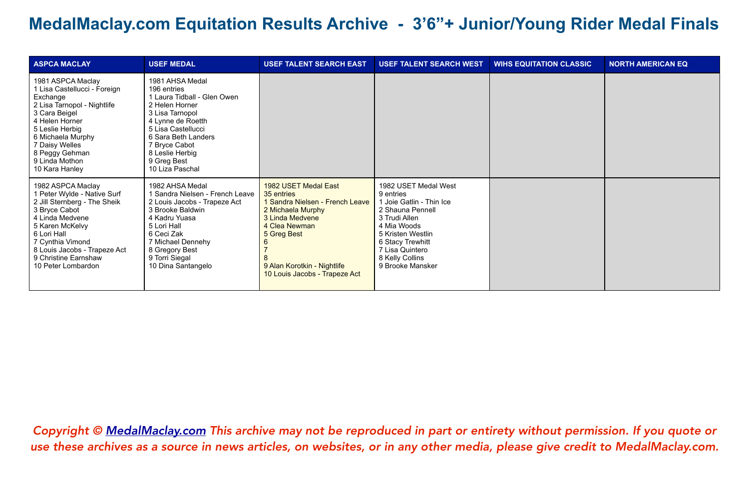| <b>ASPCA MACLAY</b>                                                                                                                                                                                                                                      | <b>USEF MEDAL</b>                                                                                                                                                                                                                          | <b>USEF TALENT SEARCH EAST</b>                                                                                                                                                                                | <b>USEF TALENT SEARCH WEST</b>                                                                                                                                                                                       | <b>WIHS EQUITATION CLASSIC</b> | <b>NORTH AMERICAN EQ</b> |
|----------------------------------------------------------------------------------------------------------------------------------------------------------------------------------------------------------------------------------------------------------|--------------------------------------------------------------------------------------------------------------------------------------------------------------------------------------------------------------------------------------------|---------------------------------------------------------------------------------------------------------------------------------------------------------------------------------------------------------------|----------------------------------------------------------------------------------------------------------------------------------------------------------------------------------------------------------------------|--------------------------------|--------------------------|
| 1981 ASPCA Maclay<br>1 Lisa Castellucci - Foreign<br>Exchange<br>2 Lisa Tarnopol - Nightlife<br>3 Cara Beigel<br>4 Helen Horner<br>5 Leslie Herbig<br>6 Michaela Murphy<br>7 Daisy Welles<br>8 Peggy Gehman<br>9 Linda Mothon<br>10 Kara Hanley          | 1981 AHSA Medal<br>196 entries<br>1 Laura Tidball - Glen Owen<br>2 Helen Horner<br>3 Lisa Tarnopol<br>4 Lynne de Roetth<br>5 Lisa Castellucci<br>6 Sara Beth Landers<br>7 Bryce Cabot<br>8 Leslie Herbig<br>9 Greg Best<br>10 Liza Paschal |                                                                                                                                                                                                               |                                                                                                                                                                                                                      |                                |                          |
| 1982 ASPCA Maclay<br>1 Peter Wylde - Native Surf<br>2 Jill Sternberg - The Sheik<br>3 Bryce Cabot<br>4 Linda Medvene<br>5 Karen McKelvy<br>6 Lori Hall<br>7 Cynthia Vimond<br>8 Louis Jacobs - Trapeze Act<br>9 Christine Earnshaw<br>10 Peter Lombardon | 1982 AHSA Medal<br>Sandra Nielsen - French Leave<br>2 Louis Jacobs - Trapeze Act<br>3 Brooke Baldwin<br>4 Kadru Yuasa<br>5 Lori Hall<br>6 Ceci Zak<br>7 Michael Dennehy<br>8 Gregory Best<br>9 Torri Siegal<br>10 Dina Santangelo          | 1982 USET Medal East<br>35 entries<br>1 Sandra Nielsen - French Leave<br>2 Michaela Murphy<br>3 Linda Medvene<br>4 Clea Newman<br>5 Greg Best<br>9 Alan Korotkin - Nightlife<br>10 Louis Jacobs - Trapeze Act | 1982 USET Medal West<br>9 entries<br>1 Joie Gatlin - Thin Ice<br>2 Shauna Pennell<br>3 Trudi Allen<br>4 Mia Woods<br>5 Kristen Westlin<br>6 Stacy Trewhitt<br>7 Lisa Quintero<br>8 Kelly Collins<br>9 Brooke Mansker |                                |                          |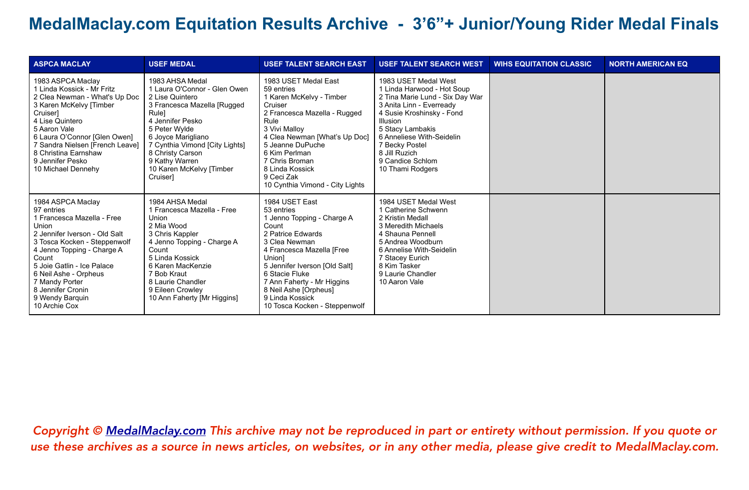| <b>ASPCA MACLAY</b>                                                                                                                                                                                                                                                                                              | <b>USEF MEDAL</b>                                                                                                                                                                                                                                                                     | <b>USEF TALENT SEARCH EAST</b>                                                                                                                                                                                                                                                                                 | <b>USEF TALENT SEARCH WEST</b>                                                                                                                                                                                                                                                                | <b>WIHS EQUITATION CLASSIC</b> | <b>NORTH AMERICAN EQ</b> |
|------------------------------------------------------------------------------------------------------------------------------------------------------------------------------------------------------------------------------------------------------------------------------------------------------------------|---------------------------------------------------------------------------------------------------------------------------------------------------------------------------------------------------------------------------------------------------------------------------------------|----------------------------------------------------------------------------------------------------------------------------------------------------------------------------------------------------------------------------------------------------------------------------------------------------------------|-----------------------------------------------------------------------------------------------------------------------------------------------------------------------------------------------------------------------------------------------------------------------------------------------|--------------------------------|--------------------------|
| 1983 ASPCA Maclay<br>1 Linda Kossick - Mr Fritz<br>2 Clea Newman - What's Up Doc<br>3 Karen McKelvy [Timber<br><b>Cruiser</b><br>4 Lise Quintero<br>5 Aaron Vale<br>6 Laura O'Connor [Glen Owen]<br>7 Sandra Nielsen [French Leave]<br>8 Christina Earnshaw<br>9 Jennifer Pesko<br>10 Michael Dennehy            | 1983 AHSA Medal<br>1 Laura O'Connor - Glen Owen<br>2 Lise Quintero<br>3 Francesca Mazella [Rugged<br>Rule]<br>4 Jennifer Pesko<br>5 Peter Wylde<br>6 Joyce Marigliano<br>7 Cynthia Vimond [City Lights]<br>8 Christy Carson<br>9 Kathy Warren<br>10 Karen McKelvy [Timber<br>Cruiser1 | 1983 USET Medal East<br>59 entries<br>1 Karen McKelvy - Timber<br>Cruiser<br>2 Francesca Mazella - Rugged<br>Rule<br>3 Vivi Malloy<br>4 Clea Newman [What's Up Doc]<br>5 Jeanne DuPuche<br>6 Kim Perlman<br>7 Chris Broman<br>8 Linda Kossick<br>9 Ceci Zak<br>10 Cynthia Vimond - City Lights                 | 1983 USET Medal West<br>1 Linda Harwood - Hot Soup<br>2 Tina Marie Lund - Six Day War<br>3 Anita Linn - Everready<br>4 Susie Kroshinsky - Fond<br><b>Illusion</b><br>5 Stacy Lambakis<br>6 Anneliese With-Seidelin<br>7 Becky Postel<br>8 Jill Ruzich<br>9 Candice Schlom<br>10 Thami Rodgers |                                |                          |
| 1984 ASPCA Maclay<br>97 entries<br>1 Francesca Mazella - Free<br>Union<br>2 Jennifer Iverson - Old Salt<br>3 Tosca Kocken - Steppenwolf<br>4 Jenno Topping - Charge A<br>Count<br>5 Joie Gatlin - Ice Palace<br>6 Neil Ashe - Orpheus<br>7 Mandy Porter<br>8 Jennifer Cronin<br>9 Wendy Barquin<br>10 Archie Cox | 1984 AHSA Medal<br>1 Francesca Mazella - Free<br>Union<br>2 Mia Wood<br>3 Chris Kappler<br>4 Jenno Topping - Charge A<br>Count<br>5 Linda Kossick<br>6 Karen MacKenzie<br>7 Bob Kraut<br>8 Laurie Chandler<br>9 Eileen Crowley<br>10 Ann Faherty [Mr Higgins]                         | 1984 USET East<br>53 entries<br>1 Jenno Topping - Charge A<br>Count<br>2 Patrice Edwards<br>3 Clea Newman<br>4 Francesca Mazella [Free<br>Unionl<br>5 Jennifer Iverson [Old Salt]<br>6 Stacie Fluke<br>7 Ann Faherty - Mr Higgins<br>8 Neil Ashe [Orpheus]<br>9 Linda Kossick<br>10 Tosca Kocken - Steppenwolf | 1984 USET Medal West<br>1 Catherine Schwenn<br>2 Kristin Medall<br>3 Meredith Michaels<br>4 Shauna Pennell<br>5 Andrea Woodburn<br>6 Annelise With-Seidelin<br>7 Stacey Eurich<br>8 Kim Tasker<br>9 Laurie Chandler<br>10 Aaron Vale                                                          |                                |                          |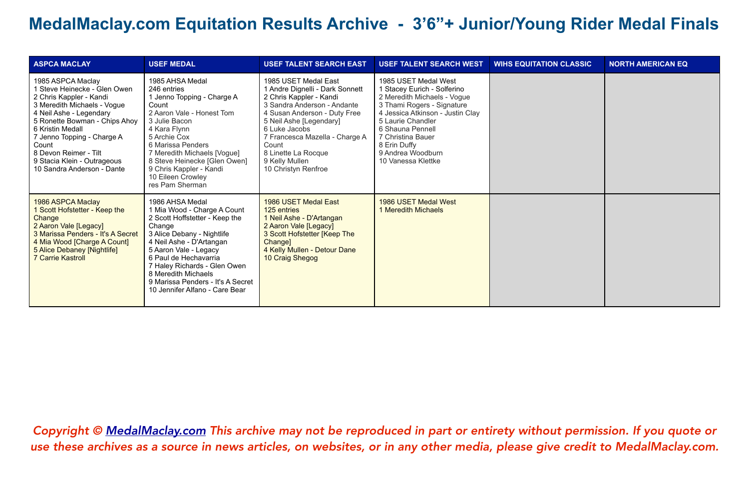| <b>ASPCA MACLAY</b>                                                                                                                                                                                                                                                                                                      | <b>USEF MEDAL</b>                                                                                                                                                                                                                                                                                                                    | <b>USEF TALENT SEARCH EAST</b>                                                                                                                                                                                                                                                                           | <b>USEF TALENT SEARCH WEST</b>                                                                                                                                                                                                                                                | <b>WIHS EQUITATION CLASSIC</b> | <b>NORTH AMERICAN EQ</b> |
|--------------------------------------------------------------------------------------------------------------------------------------------------------------------------------------------------------------------------------------------------------------------------------------------------------------------------|--------------------------------------------------------------------------------------------------------------------------------------------------------------------------------------------------------------------------------------------------------------------------------------------------------------------------------------|----------------------------------------------------------------------------------------------------------------------------------------------------------------------------------------------------------------------------------------------------------------------------------------------------------|-------------------------------------------------------------------------------------------------------------------------------------------------------------------------------------------------------------------------------------------------------------------------------|--------------------------------|--------------------------|
| 1985 ASPCA Maclay<br>1 Steve Heinecke - Glen Owen<br>2 Chris Kappler - Kandi<br>3 Meredith Michaels - Vogue<br>4 Neil Ashe - Legendary<br>5 Ronette Bowman - Chips Ahoy<br>6 Kristin Medall<br>7 Jenno Topping - Charge A<br>Count<br>8 Devon Reimer - Tilt<br>9 Stacia Klein - Outrageous<br>10 Sandra Anderson - Dante | 1985 AHSA Medal<br>246 entries<br>1 Jenno Topping - Charge A<br>Count<br>2 Aaron Vale - Honest Tom<br>3 Julie Bacon<br>4 Kara Flynn<br>5 Archie Cox<br>6 Marissa Penders<br>7 Meredith Michaels [Vogue]<br>8 Steve Heinecke [Glen Owen]<br>9 Chris Kappler - Kandi<br>10 Eileen Crowley<br>res Pam Sherman                           | 1985 USET Medal East<br>1 Andre Dignelli - Dark Sonnett<br>2 Chris Kappler - Kandi<br>3 Sandra Anderson - Andante<br>4 Susan Anderson - Duty Free<br>5 Neil Ashe [Legendary]<br>6 Luke Jacobs<br>7 Francesca Mazella - Charge A<br>Count<br>8 Linette La Rocque<br>9 Kelly Mullen<br>10 Christyn Renfroe | 1985 USET Medal West<br>1 Stacey Eurich - Solferino<br>2 Meredith Michaels - Vogue<br>3 Thami Rogers - Signature<br>4 Jessica Atkinson - Justin Clay<br>5 Laurie Chandler<br>6 Shauna Pennell<br>7 Christina Bauer<br>8 Erin Duffy<br>9 Andrea Woodburn<br>10 Vanessa Klettke |                                |                          |
| 1986 ASPCA Maclay<br>1 Scott Hofstetter - Keep the<br>Change<br>2 Aaron Vale [Legacy]<br>3 Marissa Penders - It's A Secret<br>4 Mia Wood [Charge A Count]<br>5 Alice Debaney [Nightlife]<br><b>7 Carrie Kastroll</b>                                                                                                     | 1986 AHSA Medal<br>1 Mia Wood - Charge A Count<br>2 Scott Hoffstetter - Keep the<br>Change<br>3 Alice Debany - Nightlife<br>4 Neil Ashe - D'Artangan<br>5 Aaron Vale - Legacy<br>6 Paul de Hechavarria<br>7 Haley Richards - Glen Owen<br>8 Meredith Michaels<br>9 Marissa Penders - It's A Secret<br>10 Jennifer Alfano - Care Bear | 1986 USET Medal East<br>125 entries<br>1 Neil Ashe - D'Artangan<br>2 Aaron Vale [Legacy]<br>3 Scott Hofstetter [Keep The<br>Change]<br>4 Kelly Mullen - Detour Dane<br>10 Craig Shegog                                                                                                                   | 1986 USET Medal West<br>1 Meredith Michaels                                                                                                                                                                                                                                   |                                |                          |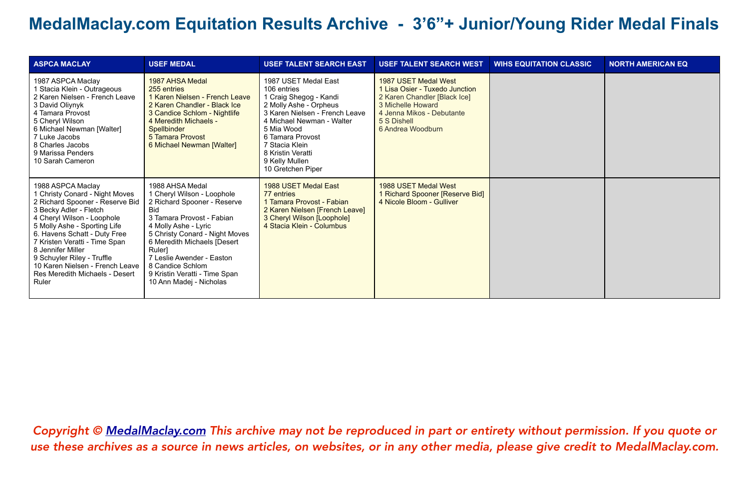| <b>ASPCA MACLAY</b>                                                                                                                                                                                                                                                                                                                                                                   | <b>USEF MEDAL</b>                                                                                                                                                                                                                                                                                                                       | <b>USEF TALENT SEARCH EAST</b>                                                                                                                                                                                                                                         | <b>USEF TALENT SEARCH WEST</b>                                                                                                                                               | <b>WIHS EQUITATION CLASSIC</b> | <b>NORTH AMERICAN EQ</b> |
|---------------------------------------------------------------------------------------------------------------------------------------------------------------------------------------------------------------------------------------------------------------------------------------------------------------------------------------------------------------------------------------|-----------------------------------------------------------------------------------------------------------------------------------------------------------------------------------------------------------------------------------------------------------------------------------------------------------------------------------------|------------------------------------------------------------------------------------------------------------------------------------------------------------------------------------------------------------------------------------------------------------------------|------------------------------------------------------------------------------------------------------------------------------------------------------------------------------|--------------------------------|--------------------------|
| 1987 ASPCA Maclay<br>Stacia Klein - Outrageous<br>2 Karen Nielsen - French Leave<br>3 David Oliynyk<br>4 Tamara Provost<br>5 Cheryl Wilson<br>6 Michael Newman [Walter]<br>7 Luke Jacobs<br>8 Charles Jacobs<br>9 Marissa Penders<br>10 Sarah Cameron                                                                                                                                 | 1987 AHSA Medal<br>255 entries<br>1 Karen Nielsen - French Leave<br>2 Karen Chandler - Black Ice<br>3 Candice Schlom - Nightlife<br>4 Meredith Michaels -<br>Spellbinder<br>5 Tamara Provost<br>6 Michael Newman [Walter]                                                                                                               | 1987 USET Medal East<br>106 entries<br>1 Craig Shegog - Kandi<br>2 Molly Ashe - Orpheus<br>3 Karen Nielsen - French Leave<br>4 Michael Newman - Walter<br>5 Mia Wood<br>6 Tamara Provost<br>7 Stacia Klein<br>8 Kristin Veratti<br>9 Kelly Mullen<br>10 Gretchen Piper | 1987 USET Medal West<br>1 Lisa Osier - Tuxedo Junction<br>2 Karen Chandler [Black Ice]<br>3 Michelle Howard<br>4 Jenna Mikos - Debutante<br>5 S Dishell<br>6 Andrea Woodburn |                                |                          |
| 1988 ASPCA Maclay<br><b>Christy Conard - Night Moves</b><br>2 Richard Spooner - Reserve Bid<br>3 Becky Adler - Fletch<br>4 Cheryl Wilson - Loophole<br>5 Molly Ashe - Sporting Life<br>6. Havens Schatt - Duty Free<br>7 Kristen Veratti - Time Span<br>8 Jennifer Miller<br>9 Schuyler Riley - Truffle<br>10 Karen Nielsen - French Leave<br>Res Meredith Michaels - Desert<br>Ruler | 1988 AHSA Medal<br>1 Cheryl Wilson - Loophole<br>2 Richard Spooner - Reserve<br><b>Bid</b><br>3 Tamara Provost - Fabian<br>4 Molly Ashe - Lyric<br>5 Christy Conard - Night Moves<br>6 Meredith Michaels [Desert<br>Ruler]<br>7 Leslie Awender - Easton<br>8 Candice Schlom<br>9 Kristin Veratti - Time Span<br>10 Ann Madej - Nicholas | 1988 USET Medal East<br>77 entries<br>1 Tamara Provost - Fabian<br>2 Karen Nielsen [French Leave]<br>3 Cheryl Wilson [Loophole]<br>4 Stacia Klein - Columbus                                                                                                           | 1988 USET Medal West<br>1 Richard Spooner [Reserve Bid]<br>4 Nicole Bloom - Gulliver                                                                                         |                                |                          |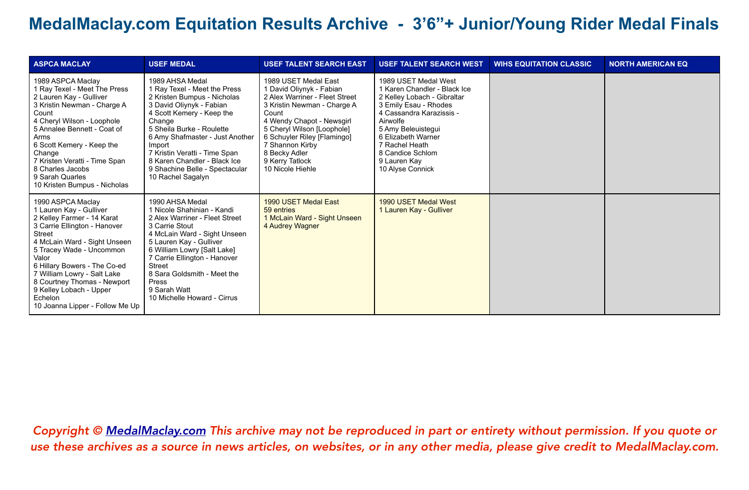| <b>ASPCA MACLAY</b>                                                                                                                                                                                                                                                                                                                                                     | <b>USEF MEDAL</b>                                                                                                                                                                                                                                                                                                                                   | <b>USEF TALENT SEARCH EAST</b>                                                                                                                                                                                                                                                                  | <b>USEF TALENT SEARCH WEST</b>                                                                                                                                                                                                                                             | <b>WIHS EQUITATION CLASSIC</b> | <b>NORTH AMERICAN EQ</b> |
|-------------------------------------------------------------------------------------------------------------------------------------------------------------------------------------------------------------------------------------------------------------------------------------------------------------------------------------------------------------------------|-----------------------------------------------------------------------------------------------------------------------------------------------------------------------------------------------------------------------------------------------------------------------------------------------------------------------------------------------------|-------------------------------------------------------------------------------------------------------------------------------------------------------------------------------------------------------------------------------------------------------------------------------------------------|----------------------------------------------------------------------------------------------------------------------------------------------------------------------------------------------------------------------------------------------------------------------------|--------------------------------|--------------------------|
| 1989 ASPCA Maclay<br>1 Ray Texel - Meet The Press<br>2 Lauren Kay - Gulliver<br>3 Kristin Newman - Charge A<br>Count<br>4 Cheryl Wilson - Loophole<br>5 Annalee Bennett - Coat of<br>Arms<br>6 Scott Kemery - Keep the<br>Change<br>7 Kristen Veratti - Time Span<br>8 Charles Jacobs<br>9 Sarah Quarles<br>10 Kristen Bumpus - Nicholas                                | 1989 AHSA Medal<br>1 Ray Texel - Meet the Press<br>2 Kristen Bumpus - Nicholas<br>3 David Oliynyk - Fabian<br>4 Scott Kemery - Keep the<br>Change<br>5 Sheila Burke - Roulette<br>6 Amy Shafmaster - Just Another<br>Import<br>7 Kristin Veratti - Time Span<br>8 Karen Chandler - Black Ice<br>9 Shachine Belle - Spectacular<br>10 Rachel Sagalyn | 1989 USET Medal East<br>1 David Oliynyk - Fabian<br>2 Alex Warriner - Fleet Street<br>3 Kristin Newman - Charge A<br>Count<br>4 Wendy Chapot - Newsgirl<br>5 Cheryl Wilson [Loophole]<br>6 Schuyler Riley [Flamingo]<br>7 Shannon Kirby<br>8 Becky Adler<br>9 Kerry Tatlock<br>10 Nicole Hiehle | 1989 USET Medal West<br>1 Karen Chandler - Black Ice<br>2 Kelley Lobach - Gibraltar<br>3 Emily Esau - Rhodes<br>4 Cassandra Karazissis -<br>Airwolfe<br>5 Amy Beleuistegui<br>6 Elizabeth Warner<br>7 Rachel Heath<br>8 Candice Schlom<br>9 Lauren Kay<br>10 Alyse Connick |                                |                          |
| 1990 ASPCA Maclay<br>1 Lauren Kay - Gulliver<br>2 Kelley Farmer - 14 Karat<br>3 Carrie Ellington - Hanover<br><b>Street</b><br>4 McLain Ward - Sight Unseen<br>5 Tracey Wade - Uncommon<br>Valor<br>6 Hillary Bowers - The Co-ed<br>7 William Lowry - Salt Lake<br>8 Courtney Thomas - Newport<br>9 Kelley Lobach - Upper<br>Echelon<br>10 Joanna Lipper - Follow Me Up | 1990 AHSA Medal<br>1 Nicole Shahinian - Kandi<br>2 Alex Warriner - Fleet Street<br>3 Carrie Stout<br>4 McLain Ward - Sight Unseen<br>5 Lauren Kay - Gulliver<br>6 William Lowry [Salt Lake]<br>7 Carrie Ellington - Hanover<br>Street<br>8 Sara Goldsmith - Meet the<br>Press<br>9 Sarah Watt<br>10 Michelle Howard - Cirrus                        | 1990 USET Medal East<br>59 entries<br>1 McLain Ward - Sight Unseen<br>4 Audrey Wagner                                                                                                                                                                                                           | 1990 USET Medal West<br>1 Lauren Kay - Gulliver                                                                                                                                                                                                                            |                                |                          |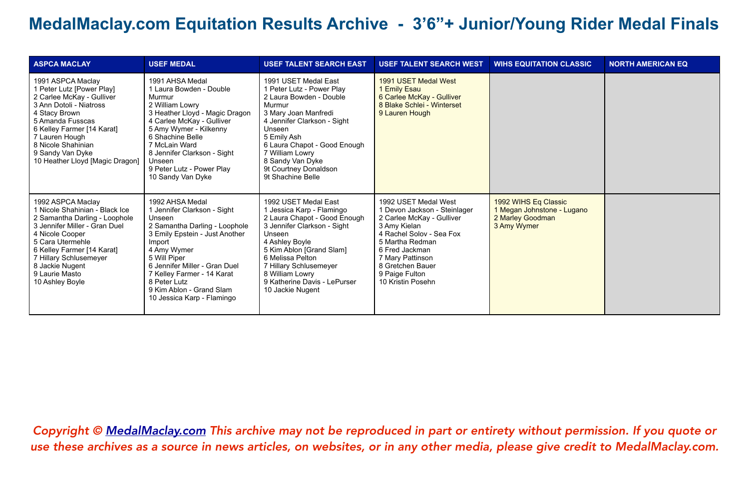| <b>ASPCA MACLAY</b>                                                                                                                                                                                                                                                          | <b>USEF MEDAL</b>                                                                                                                                                                                                                                                                                             | <b>USEF TALENT SEARCH EAST</b>                                                                                                                                                                                                                                                                | <b>USEF TALENT SEARCH WEST</b>                                                                                                                                                                                                                    | <b>WIHS EQUITATION CLASSIC</b>                                                        | <b>NORTH AMERICAN EQ</b> |
|------------------------------------------------------------------------------------------------------------------------------------------------------------------------------------------------------------------------------------------------------------------------------|---------------------------------------------------------------------------------------------------------------------------------------------------------------------------------------------------------------------------------------------------------------------------------------------------------------|-----------------------------------------------------------------------------------------------------------------------------------------------------------------------------------------------------------------------------------------------------------------------------------------------|---------------------------------------------------------------------------------------------------------------------------------------------------------------------------------------------------------------------------------------------------|---------------------------------------------------------------------------------------|--------------------------|
| 1991 ASPCA Maclay<br>1 Peter Lutz [Power Play]<br>2 Carlee McKay - Gulliver<br>3 Ann Dotoli - Niatross<br>4 Stacy Brown<br>5 Amanda Fusscas<br>6 Kelley Farmer [14 Karat]<br>7 Lauren Hough<br>8 Nicole Shahinian<br>9 Sandy Van Dyke<br>10 Heather Lloyd [Magic Dragon]     | 1991 AHSA Medal<br>1 Laura Bowden - Double<br>Murmur<br>2 William Lowry<br>3 Heather Lloyd - Magic Dragon<br>4 Carlee McKay - Gulliver<br>5 Amy Wymer - Kilkenny<br>6 Shachine Belle<br>7 McLain Ward<br>8 Jennifer Clarkson - Sight<br>Unseen<br>9 Peter Lutz - Power Play<br>10 Sandy Van Dyke              | 1991 USET Medal East<br>1 Peter Lutz - Power Play<br>2 Laura Bowden - Double<br>Murmur<br>3 Mary Joan Manfredi<br>4 Jennifer Clarkson - Sight<br>Unseen<br>5 Emily Ash<br>6 Laura Chapot - Good Enough<br>7 William Lowry<br>8 Sandy Van Dyke<br>9t Courtney Donaldson<br>9t Shachine Belle   | 1991 USET Medal West<br>1 Emily Esau<br>6 Carlee McKay - Gulliver<br>8 Blake Schlei - Winterset<br>9 Lauren Hough                                                                                                                                 |                                                                                       |                          |
| 1992 ASPCA Maclay<br>1 Nicole Shahinian - Black Ice<br>2 Samantha Darling - Loophole<br>3 Jennifer Miller - Gran Duel<br>4 Nicole Cooper<br>5 Cara Utermehle<br>6 Kelley Farmer [14 Karat]<br>7 Hillary Schlusemeyer<br>8 Jackie Nugent<br>9 Laurie Masto<br>10 Ashley Boyle | 1992 AHSA Medal<br>1 Jennifer Clarkson - Sight<br>Unseen<br>2 Samantha Darling - Loophole<br>3 Emily Epstein - Just Another<br>Import<br>4 Amy Wymer<br>5 Will Piper<br>6 Jennifer Miller - Gran Duel<br>7 Kelley Farmer - 14 Karat<br>8 Peter Lutz<br>9 Kim Ablon - Grand Slam<br>10 Jessica Karp - Flamingo | 1992 USET Medal East<br>1 Jessica Karp - Flamingo<br>2 Laura Chapot - Good Enough<br>3 Jennifer Clarkson - Sight<br>Unseen<br>4 Ashley Boyle<br>5 Kim Ablon [Grand Slam]<br>6 Melissa Pelton<br>7 Hillary Schlusemeyer<br>8 William Lowry<br>9 Katherine Davis - LePurser<br>10 Jackie Nugent | 1992 USET Medal West<br>1 Devon Jackson - Steinlager<br>2 Carlee McKay - Gulliver<br>3 Amy Kielan<br>4 Rachel Solov - Sea Fox<br>5 Martha Redman<br>6 Fred Jackman<br>7 Mary Pattinson<br>8 Gretchen Bauer<br>9 Paige Fulton<br>10 Kristin Posehn | 1992 WIHS Eq Classic<br>1 Megan Johnstone - Lugano<br>2 Marley Goodman<br>3 Amy Wymer |                          |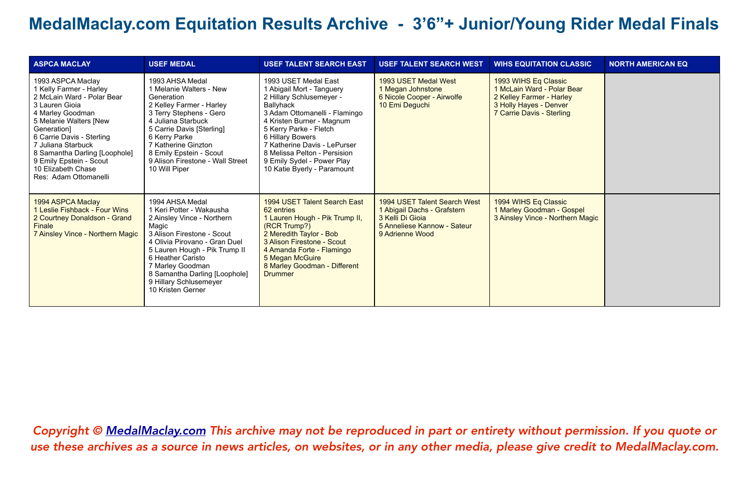| <b>ASPCA MACLAY</b>                                                                                                                                                                                                                                                                                                     | <b>USEF MEDAL</b>                                                                                                                                                                                                                                                                                           | <b>USEF TALENT SEARCH EAST</b>                                                                                                                                                                                                                                                                                                      | <b>USEF TALENT SEARCH WEST</b>                                                                                                    | <b>WIHS EQUITATION CLASSIC</b>                                                                                                        | <b>NORTH AMERICAN EQ</b> |
|-------------------------------------------------------------------------------------------------------------------------------------------------------------------------------------------------------------------------------------------------------------------------------------------------------------------------|-------------------------------------------------------------------------------------------------------------------------------------------------------------------------------------------------------------------------------------------------------------------------------------------------------------|-------------------------------------------------------------------------------------------------------------------------------------------------------------------------------------------------------------------------------------------------------------------------------------------------------------------------------------|-----------------------------------------------------------------------------------------------------------------------------------|---------------------------------------------------------------------------------------------------------------------------------------|--------------------------|
| 1993 ASPCA Maclay<br>1 Kelly Farmer - Harley<br>2 McLain Ward - Polar Bear<br>3 Lauren Gioia<br>4 Marley Goodman<br>5 Melanie Walters [New<br>Generation]<br>6 Carrie Davis - Sterling<br>7 Juliana Starbuck<br>8 Samantha Darling [Loophole]<br>9 Emily Epstein - Scout<br>10 Elizabeth Chase<br>Res: Adam Ottomanelli | 1993 AHSA Medal<br>1 Melanie Walters - New<br>Generation<br>2 Kelley Farmer - Harley<br>3 Terry Stephens - Gero<br>4 Juliana Starbuck<br>5 Carrie Davis [Sterling]<br>6 Kerry Parke<br>7 Katherine Ginzton<br>8 Emily Epstein - Scout<br>9 Alison Firestone - Wall Street<br>10 Will Piper                  | 1993 USET Medal East<br>1 Abigail Mort - Tanguery<br>2 Hillary Schlusemeyer -<br>Ballyhack<br>3 Adam Ottomanelli - Flamingo<br>4 Kristen Burner - Magnum<br>5 Kerry Parke - Fletch<br>6 Hillary Bowers<br>7 Katherine Davis - LePurser<br>8 Melissa Pelton - Persision<br>9 Emily Sydel - Power Play<br>10 Katie Byerly - Paramount | 1993 USET Medal West<br>1 Megan Johnstone<br>6 Nicole Cooper - Airwolfe<br>10 Emi Deguchi                                         | 1993 WIHS Eq Classic<br>1 McLain Ward - Polar Bear<br>2 Kelley Farmer - Harley<br>3 Holly Hayes - Denver<br>7 Carrie Davis - Sterling |                          |
| 1994 ASPCA Maclay<br>1 Leslie Fishback - Four Wins<br>2 Courtney Donaldson - Grand<br>Finale<br>7 Ainsley Vince - Northern Magic                                                                                                                                                                                        | 1994 AHSA Medal<br>1 Keri Potter - Wakausha<br>2 Ainsley Vince - Northern<br>Magic<br>3 Alison Firestone - Scout<br>4 Olivia Pirovano - Gran Duel<br>5 Lauren Hough - Pik Trump II<br>6 Heather Caristo<br>7 Marley Goodman<br>8 Samantha Darling [Loophole]<br>9 Hillary Schlusemeyer<br>10 Kristen Gerner | 1994 USET Talent Search East<br>62 entries<br>1 Lauren Hough - Pik Trump II,<br>(RCR Trump?)<br>2 Meredith Taylor - Bob<br>3 Alison Firestone - Scout<br>4 Amanda Forte - Flamingo<br>5 Megan McGuire<br>8 Marley Goodman - Different<br><b>Drummer</b>                                                                             | 1994 USET Talent Search West<br>1 Abigail Dachs - Grafstern<br>3 Kelli Di Gioja<br>5 Anneliese Kannow - Sateur<br>9 Adrienne Wood | 1994 WIHS Eq Classic<br>1 Marley Goodman - Gospel<br>3 Ainsley Vince - Northern Magic                                                 |                          |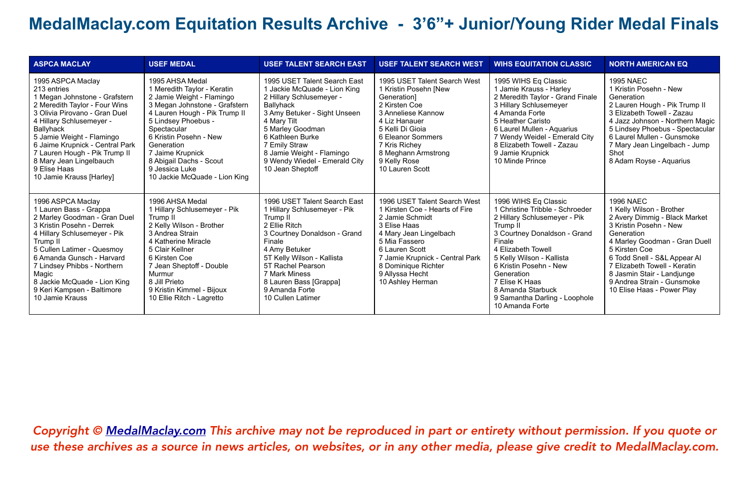| <b>ASPCA MACLAY</b>                                                                                                                                                                                                                                                                                                                                  | <b>USEF MEDAL</b>                                                                                                                                                                                                                                                                                                             | <b>USEF TALENT SEARCH EAST</b>                                                                                                                                                                                                                                                                  | <b>USEF TALENT SEARCH WEST</b>                                                                                                                                                                                                                                  | <b>WIHS EQUITATION CLASSIC</b>                                                                                                                                                                                                                                                                                                      | <b>NORTH AMERICAN EQ</b>                                                                                                                                                                                                                                                                                                          |
|------------------------------------------------------------------------------------------------------------------------------------------------------------------------------------------------------------------------------------------------------------------------------------------------------------------------------------------------------|-------------------------------------------------------------------------------------------------------------------------------------------------------------------------------------------------------------------------------------------------------------------------------------------------------------------------------|-------------------------------------------------------------------------------------------------------------------------------------------------------------------------------------------------------------------------------------------------------------------------------------------------|-----------------------------------------------------------------------------------------------------------------------------------------------------------------------------------------------------------------------------------------------------------------|-------------------------------------------------------------------------------------------------------------------------------------------------------------------------------------------------------------------------------------------------------------------------------------------------------------------------------------|-----------------------------------------------------------------------------------------------------------------------------------------------------------------------------------------------------------------------------------------------------------------------------------------------------------------------------------|
| 1995 ASPCA Maclay<br>213 entries<br>1 Megan Johnstone - Grafstern<br>2 Meredith Taylor - Four Wins<br>3 Olivia Pirovano - Gran Duel<br>4 Hillary Schlusemeyer -<br>Ballyhack<br>5 Jamie Weight - Flamingo<br>6 Jaime Krupnick - Central Park<br>7 Lauren Hough - Pik Trump II<br>8 Mary Jean Lingelbauch<br>9 Elise Haas<br>10 Jamie Krauss [Harley] | 1995 AHSA Medal<br>1 Meredith Taylor - Keratin<br>2 Jamie Weight - Flamingo<br>3 Megan Johnstone - Grafstern<br>4 Lauren Hough - Pik Trump II<br>5 Lindsey Phoebus -<br>Spectacular<br>6 Kristin Posehn - New<br>Generation<br>7 Jaime Krupnick<br>8 Abigail Dachs - Scout<br>9 Jessica Luke<br>10 Jackie McQuade - Lion King | 1995 USET Talent Search East<br>1 Jackie McQuade - Lion King<br>2 Hillary Schlusemeyer -<br>Ballyhack<br>3 Amy Betuker - Sight Unseen<br>4 Mary Tilt<br>5 Marley Goodman<br>6 Kathleen Burke<br>7 Emily Straw<br>8 Jamie Weight - Flamingo<br>9 Wendy Wiedel - Emerald City<br>10 Jean Sheptoff | 1995 USET Talent Search West<br>1 Kristin Posehn [New<br>Generation1<br>2 Kirsten Coe<br>3 Anneliese Kannow<br>4 Liz Hanauer<br>5 Kelli Di Gioja<br>6 Eleanor Sommers<br>7 Kris Richey<br>8 Meghann Armstrong<br>9 Kelly Rose<br>10 Lauren Scott                | 1995 WIHS Eq Classic<br>1 Jamie Krauss - Harley<br>2 Meredith Taylor - Grand Finale<br>3 Hillary Schlusemeyer<br>4 Amanda Forte<br>5 Heather Caristo<br>6 Laurel Mullen - Aguarius<br>7 Wendy Weidel - Emerald City<br>8 Elizabeth Towell - Zazau<br>9 Jamie Krupnick<br>10 Minde Prince                                            | <b>1995 NAEC</b><br>1 Kristin Posehn - New<br>Generation<br>2 Lauren Hough - Pik Trump II<br>3 Elizabeth Towell - Zazau<br>4 Jazz Johnson - Northern Magic<br>5 Lindsey Phoebus - Spectacular<br>6 Laurel Mullen - Gunsmoke<br>7 Mary Jean Lingelbach - Jump<br>Shot<br>8 Adam Royse - Aquarius                                   |
| 1996 ASPCA Maclay<br>1 Lauren Bass - Grappa<br>2 Marley Goodman - Gran Duel<br>3 Kristin Posehn - Derrek<br>4 Hillary Schlusemeyer - Pik<br>Trump II<br>5 Cullen Latimer - Quesmoy<br>6 Amanda Gunsch - Harvard<br>7 Lindsey Phibbs - Northern<br>Magic<br>8 Jackie McQuade - Lion King<br>9 Keri Kampsen - Baltimore<br>10 Jamie Krauss             | 1996 AHSA Medal<br>1 Hillary Schlusemeyer - Pik<br>Trump II<br>2 Kelly Wilson - Brother<br>3 Andrea Strain<br>4 Katherine Miracle<br>5 Clair Kellner<br>6 Kirsten Coe<br>7 Jean Sheptoff - Double<br>Murmur<br>8 Jill Prieto<br>9 Kristin Kimmel - Bijoux<br>10 Ellie Ritch - Lagretto                                        | 1996 USET Talent Search East<br>1 Hillary Schlusemeyer - Pik<br>Trump II<br>2 Ellie Ritch<br>3 Courtney Donaldson - Grand<br>Finale<br>4 Amy Betuker<br>5T Kelly Wilson - Kallista<br>5T Rachel Pearson<br>7 Mark Miness<br>8 Lauren Bass [Grappa]<br>9 Amanda Forte<br>10 Cullen Latimer       | 1996 USET Talent Search West<br>1 Kirsten Coe - Hearts of Fire<br>2 Jamie Schmidt<br>3 Elise Haas<br>4 Mary Jean Lingelbach<br>5 Mia Fassero<br>6 Lauren Scott<br>7 Jamie Krupnick - Central Park<br>8 Dominique Richter<br>9 Allyssa Hecht<br>10 Ashley Herman | 1996 WIHS Eq Classic<br>1 Christine Tribble - Schroeder<br>2 Hillary Schlusemeyer - Pik<br>Trump II<br>3 Courtney Donaldson - Grand<br>Finale<br>4 Elizabeth Towell<br>5 Kelly Wilson - Kallista<br>6 Kristin Posehn - New<br>Generation<br>7 Elise K Haas<br>8 Amanda Starbuck<br>9 Samantha Darling - Loophole<br>10 Amanda Forte | <b>1996 NAEC</b><br>1 Kelly Wilson - Brother<br>2 Avery Dimmig - Black Market<br>3 Kristin Posehn - New<br>Generation<br>4 Marley Goodman - Gran Duell<br>5 Kirsten Coe<br>6 Todd Snell - S&L Appear Al<br>7 Elizabeth Towell - Keratin<br>8 Jasmin Stair - Landjunge<br>9 Andrea Strain - Gunsmoke<br>10 Elise Haas - Power Play |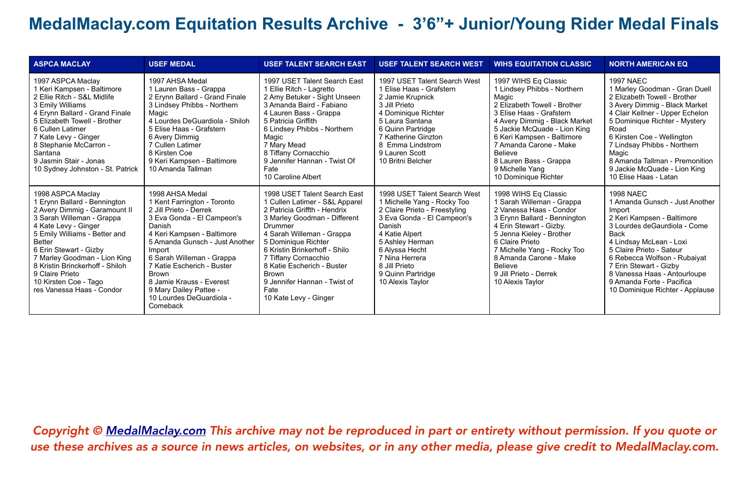| <b>ASPCA MACLAY</b>                                                                                                                                                                                                                                                                                                                                             | <b>USEF MEDAL</b>                                                                                                                                                                                                                                                                                                                                            | <b>USEF TALENT SEARCH EAST</b>                                                                                                                                                                                                                                                                                                                                        | <b>USEF TALENT SEARCH WEST</b>                                                                                                                                                                                                                                          | <b>WIHS EQUITATION CLASSIC</b>                                                                                                                                                                                                                                                                                                    | <b>NORTH AMERICAN EQ</b>                                                                                                                                                                                                                                                                                                                                        |
|-----------------------------------------------------------------------------------------------------------------------------------------------------------------------------------------------------------------------------------------------------------------------------------------------------------------------------------------------------------------|--------------------------------------------------------------------------------------------------------------------------------------------------------------------------------------------------------------------------------------------------------------------------------------------------------------------------------------------------------------|-----------------------------------------------------------------------------------------------------------------------------------------------------------------------------------------------------------------------------------------------------------------------------------------------------------------------------------------------------------------------|-------------------------------------------------------------------------------------------------------------------------------------------------------------------------------------------------------------------------------------------------------------------------|-----------------------------------------------------------------------------------------------------------------------------------------------------------------------------------------------------------------------------------------------------------------------------------------------------------------------------------|-----------------------------------------------------------------------------------------------------------------------------------------------------------------------------------------------------------------------------------------------------------------------------------------------------------------------------------------------------------------|
| 1997 ASPCA Maclay<br>1 Keri Kampsen - Baltimore<br>2 Ellie Ritch - S&L Midlife<br>3 Emily Williams<br>4 Erynn Ballard - Grand Finale<br>5 Elizabeth Towell - Brother<br>6 Cullen Latimer<br>7 Kate Levy - Ginger<br>8 Stephanie McCarron -<br>Santana<br>9 Jasmin Stair - Jonas<br>10 Sydney Johnston - St. Patrick                                             | 1997 AHSA Medal<br>1 Lauren Bass - Grappa<br>2 Erynn Ballard - Grand Finale<br>3 Lindsey Phibbs - Northern<br>Magic<br>4 Lourdes DeGuardiola - Shiloh<br>5 Elise Haas - Grafstern<br>6 Avery Dimmig<br>7 Cullen Latimer<br>8 Kirsten Coe<br>9 Keri Kampsen - Baltimore<br>10 Amanda Tallman                                                                  | 1997 USET Talent Search East<br>1 Ellie Ritch - Lagretto<br>2 Amy Betuker - Sight Unseen<br>3 Amanda Baird - Fabiano<br>4 Lauren Bass - Grappa<br>5 Patricia Griffith<br>6 Lindsey Phibbs - Northern<br>Magic<br>7 Mary Mead<br>8 Tiffany Cornacchio<br>9 Jennifer Hannan - Twist Of<br>Fate<br>10 Caroline Albert                                                    | 1997 USET Talent Search West<br>1 Elise Haas - Grafstern<br>2 Jamie Krupnick<br>3 Jill Prieto<br>4 Dominique Richter<br>5 Laura Santana<br>6 Quinn Partridge<br>7 Katherine Ginzton<br>8 Emma Lindstrom<br>9 Lauren Scott<br>10 Britni Belcher                          | 1997 WIHS Eq Classic<br>1 Lindsey Phibbs - Northern<br>Magic<br>2 Elizabeth Towell - Brother<br>3 Elise Haas - Grafstern<br>4 Avery Dimmig - Black Market<br>5 Jackie McQuade - Lion King<br>6 Keri Kampsen - Baltimore<br>7 Amanda Carone - Make<br>Believe<br>8 Lauren Bass - Grappa<br>9 Michelle Yang<br>10 Dominique Richter | <b>1997 NAEC</b><br>1 Marley Goodman - Gran Duell<br>2 Elizabeth Towell - Brother<br>3 Avery Dimmig - Black Market<br>4 Clair Kellner - Upper Echelon<br>5 Dominique Richter - Mystery<br>Road<br>6 Kirsten Coe - Wellington<br>7 Lindsay Phibbs - Northern<br>Magic<br>8 Amanda Tallman - Premonition<br>9 Jackie McQuade - Lion King<br>10 Elise Haas - Latan |
| 1998 ASPCA Maclay<br>1 Erynn Ballard - Bennington<br>2 Avery Dimmig - Garamount II<br>3 Sarah Willeman - Grappa<br>4 Kate Levy - Ginger<br>5 Emily Williams - Better and<br><b>Better</b><br>6 Erin Stewart - Gizby<br>7 Marley Goodman - Lion King<br>8 Kristin Brinckerhoff - Shiloh<br>9 Claire Prieto<br>10 Kirsten Coe - Tago<br>res Vanessa Haas - Condor | 1998 AHSA Medal<br>1 Kent Farrington - Toronto<br>2 Jill Prieto - Derrek<br>3 Eva Gonda - El Campeon's<br>Danish<br>4 Keri Kampsen - Baltimore<br>5 Amanda Gunsch - Just Another<br>Import<br>6 Sarah Willeman - Grappa<br>7 Katie Escherich - Buster<br>Brown<br>8 Jamie Krauss - Everest<br>9 Mary Dailey Pattee -<br>10 Lourdes DeGuardiola -<br>Comeback | 1998 USET Talent Search East<br>1 Cullen Latimer - S&L Apparel<br>2 Patricia Griffth - Hendrix<br>3 Marley Goodman - Different<br>Drummer<br>4 Sarah Willeman - Grappa<br>5 Dominique Richter<br>6 Kristin Brinkerhoff - Shilo<br>7 Tiffany Cornacchio<br>8 Katie Escherich - Buster<br><b>Brown</b><br>9 Jennifer Hannan - Twist of<br>Fate<br>10 Kate Levy - Ginger | 1998 USET Talent Search West<br>1 Michelle Yang - Rocky Too<br>2 Claire Prieto - Freestyling<br>3 Eva Gonda - El Campeon's<br>Danish<br>4 Katie Alpert<br>5 Ashley Herman<br>6 Alyssa Hecht<br>7 Nina Herrera<br>8 Jill Prieto<br>9 Quinn Partridge<br>10 Alexis Taylor | 1998 WIHS Eq Classic<br>1 Sarah Willeman - Grappa<br>2 Vanessa Haas - Condor<br>3 Erynn Ballard - Bennington<br>4 Erin Stewart - Gizby.<br>5 Jenna Kieley - Brother<br>6 Claire Prieto<br>7 Michelle Yang - Rocky Too<br>8 Amanda Carone - Make<br>Believe<br>9 Jill Prieto - Derrek<br>10 Alexis Taylor                          | <b>1998 NAEC</b><br>1 Amanda Gunsch - Just Another<br>Import<br>2 Keri Kampsen - Baltimore<br>3 Lourdes deGaurdiola - Come<br><b>Back</b><br>4 Lindsay McLean - Loxi<br>5 Claire Prieto - Sateur<br>6 Rebecca Wolfson - Rubaiyat<br>7 Erin Stewart - Gizby<br>8 Vanessa Haas - Antourloupe<br>9 Amanda Forte - Pacifica<br>10 Dominique Richter - Applause      |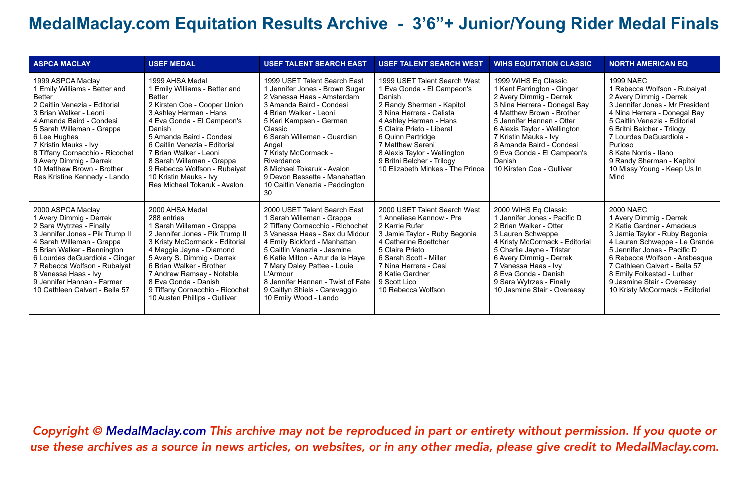| <b>ASPCA MACLAY</b>                                                                                                                                                                                                                                                                                                                                          | <b>USEF MEDAL</b>                                                                                                                                                                                                                                                                                                                                                                 | <b>USEF TALENT SEARCH EAST</b>                                                                                                                                                                                                                                                                                                                                                 | <b>USEF TALENT SEARCH WEST</b>                                                                                                                                                                                                                                                                                                  | <b>WIHS EQUITATION CLASSIC</b>                                                                                                                                                                                                                                                                                                    | <b>NORTH AMERICAN EQ</b>                                                                                                                                                                                                                                                                                                                         |
|--------------------------------------------------------------------------------------------------------------------------------------------------------------------------------------------------------------------------------------------------------------------------------------------------------------------------------------------------------------|-----------------------------------------------------------------------------------------------------------------------------------------------------------------------------------------------------------------------------------------------------------------------------------------------------------------------------------------------------------------------------------|--------------------------------------------------------------------------------------------------------------------------------------------------------------------------------------------------------------------------------------------------------------------------------------------------------------------------------------------------------------------------------|---------------------------------------------------------------------------------------------------------------------------------------------------------------------------------------------------------------------------------------------------------------------------------------------------------------------------------|-----------------------------------------------------------------------------------------------------------------------------------------------------------------------------------------------------------------------------------------------------------------------------------------------------------------------------------|--------------------------------------------------------------------------------------------------------------------------------------------------------------------------------------------------------------------------------------------------------------------------------------------------------------------------------------------------|
| 1999 ASPCA Maclay<br>1 Emily Williams - Better and<br><b>Better</b><br>2 Caitlin Venezia - Editorial<br>3 Brian Walker - Leoni<br>4 Amanda Baird - Condesi<br>5 Sarah Willeman - Grappa<br>6 Lee Hughes<br>7 Kristin Mauks - Ivy<br>8 Tiffany Cornacchio - Ricochet<br>9 Avery Dimmig - Derrek<br>10 Matthew Brown - Brother<br>Res Kristine Kennedy - Lando | 1999 AHSA Medal<br>1 Emily Williams - Better and<br><b>Better</b><br>2 Kirsten Coe - Cooper Union<br>3 Ashley Herman - Hans<br>4 Eva Gonda - El Campeon's<br>Danish<br>5 Amanda Baird - Condesi<br>6 Caitlin Venezia - Editorial<br>7 Brian Walker - Leoni<br>8 Sarah Willeman - Grappa<br>9 Rebecca Wolfson - Rubaiyat<br>10 Kristin Mauks - Ivy<br>Res Michael Tokaruk - Avalon | 1999 USET Talent Search East<br>1 Jennifer Jones - Brown Sugar<br>2 Vanessa Haas - Amsterdam<br>3 Amanda Baird - Condesi<br>4 Brian Walker - Leoni<br>5 Keri Kampsen - German<br>Classic<br>6 Sarah Willeman - Guardian<br>Angel<br>7 Kristy McCormack -<br>Riverdance<br>8 Michael Tokaruk - Avalon<br>9 Devon Bessette - Manahattan<br>10 Caitlin Venezia - Paddington<br>30 | 1999 USET Talent Search West<br>1 Eva Gonda - El Campeon's<br>Danish<br>2 Randy Sherman - Kapitol<br>3 Nina Herrera - Calista<br>4 Ashley Herman - Hans<br>5 Claire Prieto - Liberal<br>6 Quinn Partridge<br>7 Matthew Sereni<br>8 Alexis Taylor - Wellington<br>9 Britni Belcher - Trilogy<br>10 Elizabeth Minkes - The Prince | 1999 WIHS Eq Classic<br>1 Kent Farrington - Ginger<br>2 Avery Dimmig - Derrek<br>3 Nina Herrera - Donegal Bay<br>4 Matthew Brown - Brother<br>5 Jennifer Hannan - Otter<br>6 Alexis Taylor - Wellington<br>7 Kristin Mauks - Ivy<br>8 Amanda Baird - Condesi<br>9 Eva Gonda - El Campeon's<br>Danish<br>10 Kirsten Coe - Gulliver | <b>1999 NAEC</b><br>1 Rebecca Wolfson - Rubaiyat<br>2 Avery Dimmig - Derrek<br>3 Jennifer Jones - Mr President<br>4 Nina Herrera - Donegal Bay<br>5 Caitlin Venezia - Editorial<br>6 Britni Belcher - Trilogy<br>7 Lourdes DeGuardiola -<br>Purioso<br>8 Kate Norris - Ilano<br>9 Randy Sherman - Kapitol<br>10 Missy Young - Keep Us In<br>Mind |
| 2000 ASPCA Maclay<br>1 Avery Dimmig - Derrek<br>2 Sara Wytrzes - Finally<br>3 Jennifer Jones - Pik Trump II<br>4 Sarah Willeman - Grappa<br>5 Brian Walker - Bennington<br>6 Lourdes deGuardiola - Ginger<br>7 Rebecca Wolfson - Rubaiyat<br>8 Vanessa Haas - Ivy<br>9 Jennifer Hannan - Farmer<br>10 Cathleen Calvert - Bella 57                            | 2000 AHSA Medal<br>288 entries<br>1 Sarah Willeman - Grappa<br>2 Jennifer Jones - Pik Trump II<br>3 Kristy McCormack - Editorial<br>4 Maggie Jayne - Diamond<br>5 Avery S. Dimmig - Derrek<br>6 Brian Walker - Brother<br>7 Andrew Ramsay - Notable<br>8 Eva Gonda - Danish<br>9 Tiffany Cornacchio - Ricochet<br>10 Austen Phillips - Gulliver                                   | 2000 USET Talent Search East<br>1 Sarah Willeman - Grappa<br>2 Tiffany Cornacchio - Richochet<br>3 Vanessa Haas - Sax du Midour<br>4 Emily Bickford - Manhattan<br>5 Caitlin Venezia - Jasmine<br>6 Katie Milton - Azur de la Haye<br>7 Mary Daley Pattee - Louie<br>L'Armour<br>8 Jennifer Hannan - Twist of Fate<br>9 Caitlyn Shiels - Caravaggio<br>10 Emily Wood - Lando   | 2000 USET Talent Search West<br>1 Anneliese Kannow - Pre<br>2 Karrie Rufer<br>3 Jamie Taylor - Ruby Begonia<br>4 Catherine Boettcher<br>5 Claire Prieto<br>6 Sarah Scott - Miller<br>7 Nina Herrera - Casi<br>8 Katie Gardner<br>9 Scott Lico<br>10 Rebecca Wolfson                                                             | 2000 WIHS Eq Classic<br>1 Jennifer Jones - Pacific D<br>2 Brian Walker - Otter<br>3 Lauren Schweppe<br>4 Kristy McCormack - Editorial<br>5 Charlie Jayne - Tristar<br>6 Avery Dimmig - Derrek<br>7 Vanessa Haas - Ivy<br>8 Eva Gonda - Danish<br>9 Sara Wytrzes - Finally<br>10 Jasmine Stair - Overeasy                          | <b>2000 NAEC</b><br>1 Avery Dimmig - Derrek<br>2 Katie Gardner - Amadeus<br>3 Jamie Taylor - Ruby Begonia<br>4 Lauren Schweppe - Le Grande<br>5 Jennifer Jones - Pacific D<br>6 Rebecca Wolfson - Arabesque<br>7 Cathleen Calvert - Bella 57<br>8 Emily Folkestad - Luther<br>9 Jasmine Stair - Overeasy<br>10 Kristy McCormack - Editorial      |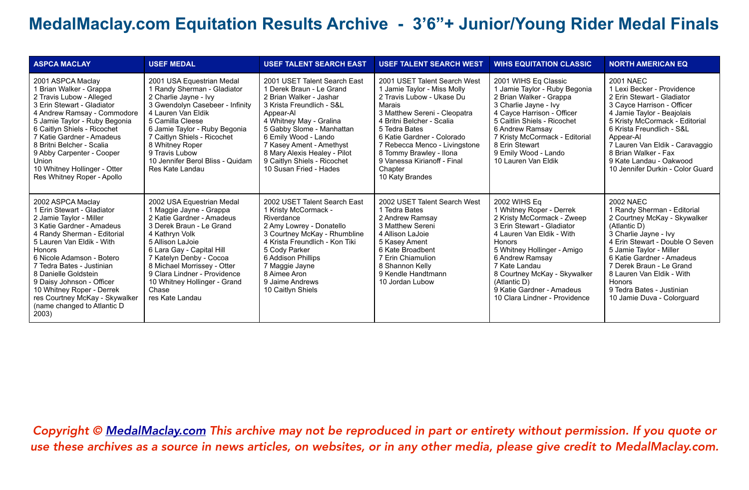| <b>ASPCA MACLAY</b>                                                                                                                                                                                                                                                                                                                                                                                 | <b>USEF MEDAL</b>                                                                                                                                                                                                                                                                                                                      | <b>USEF TALENT SEARCH EAST</b>                                                                                                                                                                                                                                                                                                     | <b>USEF TALENT SEARCH WEST</b>                                                                                                                                                                                                                                                                                                          | <b>WIHS EQUITATION CLASSIC</b>                                                                                                                                                                                                                                                                                                             | <b>NORTH AMERICAN EQ</b>                                                                                                                                                                                                                                                                                                                          |
|-----------------------------------------------------------------------------------------------------------------------------------------------------------------------------------------------------------------------------------------------------------------------------------------------------------------------------------------------------------------------------------------------------|----------------------------------------------------------------------------------------------------------------------------------------------------------------------------------------------------------------------------------------------------------------------------------------------------------------------------------------|------------------------------------------------------------------------------------------------------------------------------------------------------------------------------------------------------------------------------------------------------------------------------------------------------------------------------------|-----------------------------------------------------------------------------------------------------------------------------------------------------------------------------------------------------------------------------------------------------------------------------------------------------------------------------------------|--------------------------------------------------------------------------------------------------------------------------------------------------------------------------------------------------------------------------------------------------------------------------------------------------------------------------------------------|---------------------------------------------------------------------------------------------------------------------------------------------------------------------------------------------------------------------------------------------------------------------------------------------------------------------------------------------------|
| 2001 ASPCA Maclay<br>1 Brian Walker - Grappa<br>2 Travis Lubow - Alleged<br>3 Erin Stewart - Gladiator<br>4 Andrew Ramsay - Commodore<br>5 Jamie Taylor - Ruby Begonia<br>6 Caitlyn Shiels - Ricochet<br>7 Katie Gardner - Amadeus<br>8 Britni Belcher - Scalia<br>9 Abby Carpenter - Cooper<br>Union<br>10 Whitney Hollinger - Otter<br>Res Whitney Roper - Apollo                                 | 2001 USA Equestrian Medal<br>1 Randy Sherman - Gladiator<br>2 Charlie Jayne - Ivy<br>3 Gwendolyn Casebeer - Infinity<br>4 Lauren Van Eldik<br>5 Camilla Cleese<br>6 Jamie Taylor - Ruby Begonia<br>7 Caitlyn Shiels - Ricochet<br>8 Whitney Roper<br>9 Travis Lubow<br>10 Jennifer Berol Bliss - Quidam<br>Res Kate Landau             | 2001 USET Talent Search East<br>1 Derek Braun - Le Grand<br>2 Brian Walker - Jashar<br>3 Krista Freundlich - S&L<br>Appear-Al<br>4 Whitney May - Gralina<br>5 Gabby Slome - Manhattan<br>6 Emily Wood - Lando<br>7 Kasey Ament - Amethyst<br>8 Mary Alexis Healey - Pilot<br>9 Caitlyn Shiels - Ricochet<br>10 Susan Fried - Hades | 2001 USET Talent Search West<br>1 Jamie Taylor - Miss Molly<br>2 Travis Lubow - Ukase Du<br>Marais<br>3 Matthew Sereni - Cleopatra<br>4 Britni Belcher - Scalia<br>5 Tedra Bates<br>6 Katie Gardner - Colorado<br>7 Rebecca Menco - Livingstone<br>8 Tommy Brawley - Ilona<br>9 Vanessa Kirianoff - Final<br>Chapter<br>10 Katy Brandes | 2001 WIHS Eq Classic<br>1 Jamie Taylor - Ruby Begonia<br>2 Brian Walker - Grappa<br>3 Charlie Jayne - Ivy<br>4 Cayce Harrison - Officer<br>5 Caitlin Shiels - Ricochet<br>6 Andrew Ramsay<br>7 Kristy McCormack - Editorial<br>8 Erin Stewart<br>9 Emily Wood - Lando<br>10 Lauren Van Eldik                                               | <b>2001 NAEC</b><br>1 Lexi Becker - Providence<br>2 Erin Stewart - Gladiator<br>3 Cayce Harrison - Officer<br>4 Jamie Taylor - Beajolais<br>5 Kristy McCormack - Editorial<br>6 Krista Freundlich - S&L<br>Appear-Al<br>7 Lauren Van Eldik - Caravaggio<br>8 Brian Walker - Fax<br>9 Kate Landau - Oakwood<br>10 Jennifer Durkin - Color Guard    |
| 2002 ASPCA Maclay<br>1 Erin Stewart - Gladiator<br>2 Jamie Taylor - Miller<br>3 Katie Gardner - Amadeus<br>4 Randy Sherman - Editorial<br>5 Lauren Van Eldik - With<br>Honors<br>6 Nicole Adamson - Botero<br>7 Tedra Bates - Justinian<br>8 Danielle Goldstein<br>9 Daisy Johnson - Officer<br>10 Whitney Roper - Derrek<br>res Courtney McKay - Skywalker<br>(name changed to Atlantic D<br>2003) | 2002 USA Equestrian Medal<br>1 Maggie Jayne - Grappa<br>2 Katie Gardner - Amadeus<br>3 Derek Braun - Le Grand<br>4 Kathryn Volk<br>5 Allison LaJoie<br>6 Lara Gay - Capital Hill<br>7 Katelyn Denby - Cocoa<br>8 Michael Morrissey - Otter<br>9 Clara Lindner - Providence<br>10 Whitney Hollinger - Grand<br>Chase<br>res Kate Landau | 2002 USET Talent Search East<br>1 Kristy McCormack -<br>Riverdance<br>2 Amy Lowrey - Donatello<br>3 Courtney McKay - Rhumbline<br>4 Krista Freundlich - Kon Tiki<br>5 Cody Parker<br>6 Addison Phillips<br>7 Maggie Jayne<br>8 Aimee Aron<br>9 Jaime Andrews<br>10 Caitlyn Shiels                                                  | 2002 USET Talent Search West<br>1 Tedra Bates<br>2 Andrew Ramsay<br>3 Matthew Sereni<br>4 Allison LaJoie<br>5 Kasey Ament<br>6 Kate Broadbent<br>7 Erin Chiamulion<br>8 Shannon Kelly<br>9 Kendle Handtmann<br>10 Jordan Lubow                                                                                                          | <b>2002 WIHS Eq</b><br>1 Whitney Roper - Derrek<br>2 Kristy McCormack - Zweep<br>3 Erin Stewart - Gladiator<br>4 Lauren Van Eldik - With<br><b>Honors</b><br>5 Whitney Hollinger - Amigo<br>6 Andrew Ramsay<br>7 Kate Landau<br>8 Courtney McKay - Skywalker<br>(Atlantic D)<br>9 Katie Gardner - Amadeus<br>10 Clara Lindner - Providence | <b>2002 NAEC</b><br>1 Randy Sherman - Editorial<br>2 Courtney McKay - Skywalker<br>(Atlantic D)<br>3 Charlie Jayne - Ivy<br>4 Erin Stewart - Double O Seven<br>5 Jamie Taylor - Miller<br>6 Katie Gardner - Amadeus<br>7 Derek Braun - Le Grand<br>8 Lauren Van Eldik - With<br>Honors<br>9 Tedra Bates - Justinian<br>10 Jamie Duva - Colorguard |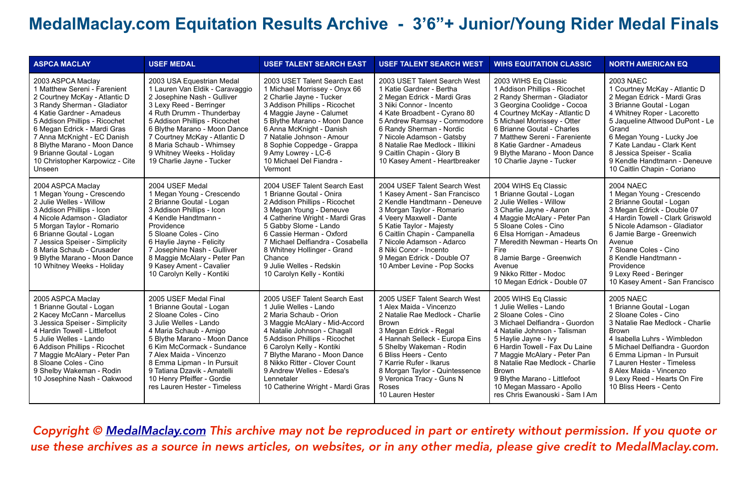| <b>ASPCA MACLAY</b>                                                                                                                                                                                                                                                                                                                                    | <b>USEF MEDAL</b>                                                                                                                                                                                                                                                                                                                                  | <b>USEF TALENT SEARCH EAST</b>                                                                                                                                                                                                                                                                                                                                 | <b>USEF TALENT SEARCH WEST</b>                                                                                                                                                                                                                                                                                                                     | <b>WIHS EQUITATION CLASSIC</b>                                                                                                                                                                                                                                                                                                                                                        | <b>NORTH AMERICAN EQ</b>                                                                                                                                                                                                                                                                                                                      |
|--------------------------------------------------------------------------------------------------------------------------------------------------------------------------------------------------------------------------------------------------------------------------------------------------------------------------------------------------------|----------------------------------------------------------------------------------------------------------------------------------------------------------------------------------------------------------------------------------------------------------------------------------------------------------------------------------------------------|----------------------------------------------------------------------------------------------------------------------------------------------------------------------------------------------------------------------------------------------------------------------------------------------------------------------------------------------------------------|----------------------------------------------------------------------------------------------------------------------------------------------------------------------------------------------------------------------------------------------------------------------------------------------------------------------------------------------------|---------------------------------------------------------------------------------------------------------------------------------------------------------------------------------------------------------------------------------------------------------------------------------------------------------------------------------------------------------------------------------------|-----------------------------------------------------------------------------------------------------------------------------------------------------------------------------------------------------------------------------------------------------------------------------------------------------------------------------------------------|
| 2003 ASPCA Maclay<br>1 Matthew Sereni - Farenient<br>2 Courtney McKay - Atlantic D<br>3 Randy Sherman - Gladiator<br>4 Katie Gardner - Amadeus<br>5 Addison Phillips - Ricochet<br>6 Megan Edrick - Mardi Gras<br>7 Anna McKnight - EC Danish<br>8 Blythe Marano - Moon Dance<br>9 Brianne Goutal - Logan<br>10 Christopher Karpowicz - Cite<br>Unseen | 2003 USA Equestrian Medal<br>1 Lauren Van Eldik - Caravaggio<br>2 Josephine Nash - Gulliver<br>3 Lexy Reed - Berringer<br>4 Ruth Drumm - Thunderbay<br>5 Addison Phillips - Ricochet<br>6 Blythe Marano - Moon Dance<br>7 Courtney McKay - Atlantic D<br>8 Maria Schaub - Whimsey<br>9 Whitney Weeks - Holiday<br>19 Charlie Jayne - Tucker        | 2003 USET Talent Search East<br>1 Michael Morrissey - Onyx 66<br>2 Charlie Jayne - Tucker<br>3 Addison Phillips - Ricochet<br>4 Maggie Jayne - Calumet<br>5 Blythe Marano - Moon Dance<br>6 Anna McKnight - Danish<br>7 Natalie Johnson - Amour<br>8 Sophie Coppedge - Grappa<br>9 Amy Lowrey - LC-6<br>10 Michael Del Fiandra -<br>Vermont                    | 2003 USET Talent Search West<br>1 Katie Gardner - Bertha<br>2 Megan Edrick - Mardi Gras<br>3 Niki Connor - Incento<br>4 Kate Broadbent - Cyrano 80<br>5 Andrew Ramsay - Commodore<br>6 Randy Sherman - Nordic<br>7 Nicole Adamson - Gatsby<br>8 Natalie Rae Medlock - Illikini<br>9 Caitlin Chapin - Glory B<br>10 Kasey Ament - Heartbreaker      | 2003 WIHS Eq Classic<br>1 Addison Phillips - Ricochet<br>2 Randy Sherman - Gladiator<br>3 Georgina Coolidge - Cocoa<br>4 Courtney McKay - Atlantic D<br>5 Michael Morrissey - Otter<br>6 Brianne Goutal - Charles<br>7 Matthew Sereni - Fareniente<br>8 Katie Gardner - Amadeus<br>9 Blythe Marano - Moon Dance<br>10 Charlie Jayne - Tucker                                          | 2003 NAEC<br>1 Courtney McKay - Atlantic D<br>2 Megan Edrick - Mardi Gras<br>3 Brianne Goutal - Logan<br>4 Whitney Roper - Lacoretto<br>5 Jaqueline Attwood DuPont - Le<br>Grand<br>6 Megan Young - Lucky Joe<br>7 Kate Landau - Clark Kent<br>8 Jessica Speiser - Scalia<br>9 Kendle Handtmann - Deneuve<br>10 Caitlin Chapin - Coriano      |
| 2004 ASPCA Maclay<br>1 Megan Young - Crescendo<br>2 Julie Welles - Willow<br>3 Addison Phillips - Icon<br>4 Nicole Adamson - Gladiator<br>5 Morgan Taylor - Romario<br>6 Brianne Goutal - Logan<br>7 Jessica Speiser - Simplicity<br>8 Maria Schaub - Crusader<br>9 Blythe Marano - Moon Dance<br>10 Whitney Weeks - Holiday                           | 2004 USEF Medal<br>1 Megan Young - Crescendo<br>2 Brianne Goutal - Logan<br>3 Addison Phillips - Icon<br>4 Kendle Handtmann -<br>Providence<br>5 Sloane Coles - Cino<br>6 Haylie Jayne - Felicity<br>7 Josephine Nash - Gulliver<br>8 Maggie McAlary - Peter Pan<br>9 Kasey Ament - Cavalier<br>10 Carolyn Kelly - Kontiki                         | 2004 USEF Talent Search East<br>1 Brianne Goutal - Onira<br>2 Addison Phillips - Ricochet<br>3 Megan Young - Deneuve<br>4 Catherine Wright - Mardi Gras<br>5 Gabby Slome - Lando<br>6 Cassie Herman - Oxford<br>7 Michael Delfiandra - Cosabella<br>8 Whitney Hollinger - Grand<br>Chance<br>9 Julie Welles - Redskin<br>10 Carolyn Kelly - Kontiki            | 2004 USEF Talent Search West<br>1 Kasey Ament - San Francisco<br>2 Kendle Handtmann - Deneuve<br>3 Morgan Taylor - Romario<br>4 Veery Maxwell - Dante<br>5 Katie Taylor - Majesty<br>6 Caitlin Chapin - Campanella<br>7 Nicole Adamson - Adarco<br>8 Niki Conor - Incento<br>9 Megan Edrick - Double O7<br>10 Amber Levine - Pop Socks             | 2004 WIHS Eq Classic<br>1 Brianne Goutal - Logan<br>2 Julie Welles - Willow<br>3 Charlie Javne - Aaron<br>4 Maggie McAlary - Peter Pan<br>5 Sloane Coles - Cino<br>6 Elsa Horrigan - Amadeus<br>7 Meredith Newman - Hearts On<br>Fire<br>8 Jamie Barge - Greenwich<br>Avenue<br>9 Nikko Ritter - Modoc<br>10 Megan Edrick - Double 07                                                 | <b>2004 NAEC</b><br>1 Megan Young - Crescendo<br>2 Brianne Goutal - Logan<br>3 Megan Edrick - Double 07<br>4 Hardin Towell - Clark Griswold<br>5 Nicole Adamson - Gladiator<br>6 Jamie Barge - Greenwich<br>Avenue<br>7 Sloane Coles - Cino<br>8 Kendle Handtmann -<br>Providence<br>9 Lexy Reed - Beringer<br>10 Kasey Ament - San Francisco |
| 2005 ASPCA Maclay<br>1 Brianne Goutal - Logan<br>2 Kacey McCann - Marcellus<br>3 Jessica Speiser - Simplicity<br>4 Hardin Towell - Littlefoot<br>5 Julie Welles - Lando<br>6 Addison Phillips - Ricochet<br>7 Maggie McAlary - Peter Pan<br>8 Sloane Coles - Cino<br>9 Shelby Wakeman - Rodin<br>10 Josephine Nash - Oakwood                           | 2005 USEF Medal Final<br>1 Brianne Goutal - Logan<br>2 Sloane Coles - Cino<br>3 Julie Welles - Lando<br>4 Maria Schaub - Amigo<br>5 Blythe Marano - Moon Dance<br>6 Kim McCormack - Sundance<br>7 Alex Maida - Vincenzo<br>8 Emma Lipman - In Pursuit<br>9 Tatiana Dzavik - Amatelli<br>10 Henry Pfeiffer - Gordie<br>res Lauren Hester - Timeless | 2005 USEF Talent Search East<br>1 Julie Welles - Lando<br>2 Maria Schaub - Orion<br>3 Maggie McAlary - Mid-Accord<br>4 Natalie Johnson - Chagall<br>5 Addison Phillips - Ricochet<br>6 Carolyn Kelly - Kontiki<br>7 Blythe Marano - Moon Dance<br>8 Nikko Ritter - Clover Count<br>9 Andrew Welles - Edesa's<br>Lennetaler<br>10 Catherine Wright - Mardi Gras | 2005 USEF Talent Search West<br>1 Alex Maida - Vincenzo<br>2 Natalie Rae Medlock - Charlie<br><b>Brown</b><br>3 Megan Edrick - Regal<br>4 Hannah Selleck - Europa Eins<br>5 Shelby Wakeman - Rodin<br>6 Bliss Heers - Cento<br>7 Karrie Rufer - Ikarus<br>8 Morgan Taylor - Quintessence<br>9 Veronica Tracy - Guns N<br>Roses<br>10 Lauren Hester | 2005 WIHS Eq Classic<br>1 Julie Welles - Lando<br>2 Sloane Coles - Cino<br>3 Michael Delfiandra - Guordon<br>4 Natalie Johnson - Talisman<br>5 Haylie Jayne - Ivy<br>6 Hardin Towell - Fax Du Laine<br>7 Maggie McAlary - Peter Pan<br>8 Natalie Rae Medlock - Charlie<br><b>Brown</b><br>9 Blythe Marano - Littlefoot<br>10 Megan Massaro - Apollo<br>res Chris Ewanouski - Sam I Am | <b>2005 NAEC</b><br>1 Brianne Goutal - Logan<br>2 Sloane Coles - Cino<br>3 Natalie Rae Medlock - Charlie<br><b>Brown</b><br>4 Isabella Luhrs - Wimbledon<br>5 Michael Delfiandra - Guordon<br>6 Emma Lipman - In Pursuit<br>7 Lauren Hester - Timeless<br>8 Alex Maida - Vincenzo<br>9 Lexy Reed - Hearts On Fire<br>10 Bliss Heers - Cento   |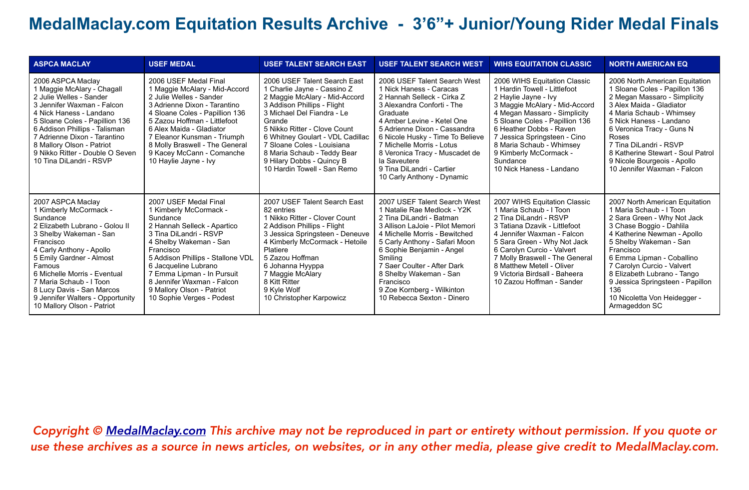| <b>ASPCA MACLAY</b>                                                                                                                                                                                                                                                                                                                                          | <b>USEF MEDAL</b>                                                                                                                                                                                                                                                                                                                              | <b>USEF TALENT SEARCH EAST</b>                                                                                                                                                                                                                                                                                                                                   | <b>USEF TALENT SEARCH WEST</b>                                                                                                                                                                                                                                                                                                                                              | <b>WIHS EQUITATION CLASSIC</b>                                                                                                                                                                                                                                                                                                                   | <b>NORTH AMERICAN EQ</b>                                                                                                                                                                                                                                                                                                                                                         |
|--------------------------------------------------------------------------------------------------------------------------------------------------------------------------------------------------------------------------------------------------------------------------------------------------------------------------------------------------------------|------------------------------------------------------------------------------------------------------------------------------------------------------------------------------------------------------------------------------------------------------------------------------------------------------------------------------------------------|------------------------------------------------------------------------------------------------------------------------------------------------------------------------------------------------------------------------------------------------------------------------------------------------------------------------------------------------------------------|-----------------------------------------------------------------------------------------------------------------------------------------------------------------------------------------------------------------------------------------------------------------------------------------------------------------------------------------------------------------------------|--------------------------------------------------------------------------------------------------------------------------------------------------------------------------------------------------------------------------------------------------------------------------------------------------------------------------------------------------|----------------------------------------------------------------------------------------------------------------------------------------------------------------------------------------------------------------------------------------------------------------------------------------------------------------------------------------------------------------------------------|
| 2006 ASPCA Maclay<br>1 Maggie McAlary - Chagall<br>2 Julie Welles - Sander<br>3 Jennifer Waxman - Falcon<br>4 Nick Haness - Landano<br>5 Sloane Coles - Papillion 136<br>6 Addison Phillips - Talisman<br>7 Adrienne Dixon - Tarantino<br>8 Mallory Olson - Patriot<br>9 Nikko Ritter - Double O Seven<br>10 Tina DiLandri - RSVP                            | 2006 USEF Medal Final<br>1 Maggie McAlary - Mid-Accord<br>2 Julie Welles - Sander<br>3 Adrienne Dixon - Tarantino<br>4 Sloane Coles - Papillion 136<br>5 Zazou Hoffman - Littlefoot<br>6 Alex Maida - Gladiator<br>7 Eleanor Kunsman - Triumph<br>8 Molly Braswell - The General<br>9 Kacey McCann - Comanche<br>10 Haylie Jayne - Ivy         | 2006 USEF Talent Search East<br>1 Charlie Jayne - Cassino Z<br>2 Maggie McAlary - Mid-Accord<br>3 Addison Phillips - Flight<br>3 Michael Del Fiandra - Le<br>Grande<br>5 Nikko Ritter - Clove Count<br>6 Whitney Goulart - VDL Cadillac<br>7 Sloane Coles - Louisiana<br>8 Maria Schaub - Teddy Bear<br>9 Hilary Dobbs - Quincy B<br>10 Hardin Towell - San Remo | 2006 USEF Talent Search West<br>1 Nick Haness - Caracas<br>2 Hannah Selleck - Cirka Z<br>3 Alexandra Conforti - The<br>Graduate<br>4 Amber Levine - Ketel One<br>5 Adrienne Dixon - Cassandra<br>6 Nicole Husky - Time To Believe<br>7 Michelle Morris - Lotus<br>8 Veronica Tracy - Muscadet de<br>la Saveutere<br>9 Tina DiLandri - Cartier<br>10 Carly Anthony - Dynamic | 2006 WIHS Equitation Classic<br>1 Hardin Towell - Littlefoot<br>2 Haylie Jayne - Ivy<br>3 Maggie McAlary - Mid-Accord<br>4 Megan Massaro - Simplicity<br>5 Sloane Coles - Papillion 136<br>6 Heather Dobbs - Raven<br>7 Jessica Springsteen - Cino<br>8 Maria Schaub - Whimsey<br>9 Kimberly McCormack -<br>Sundance<br>10 Nick Haness - Landano | 2006 North American Equitation<br>1 Sloane Coles - Papillon 136<br>2 Megan Massaro - Simplicity<br>3 Alex Maida - Gladiator<br>4 Maria Schaub - Whimsey<br>5 Nick Haness - Landano<br>6 Veronica Tracy - Guns N<br>Roses<br>7 Tina DiLandri - RSVP<br>8 Katherine Stewart - Soul Patrol<br>9 Nicole Bourgeois - Apollo<br>10 Jennifer Waxman - Falcon                            |
| 2007 ASPCA Maclay<br>1 Kimberly McCormack -<br>Sundance<br>2 Elizabeth Lubrano - Golou II<br>3 Shelby Wakeman - San<br>Francisco<br>4 Carly Anthony - Apollo<br>5 Emily Gardner - Almost<br>Famous<br>6 Michelle Morris - Eventual<br>7 Maria Schaub - I Toon<br>8 Lucy Davis - San Marcos<br>9 Jennifer Walters - Opportunity<br>10 Mallory Olson - Patriot | 2007 USEF Medal Final<br>1 Kimberly McCormack -<br>Sundance<br>2 Hannah Selleck - Apartico<br>3 Tina DiLandri - RSVP<br>4 Shelby Wakeman - San<br>Francisco<br>5 Addison Phillips - Stallone VDL<br>6 Jacqueline Lubrano<br>7 Emma Lipman - In Pursuit<br>8 Jennifer Waxman - Falcon<br>9 Mallory Olson - Patriot<br>10 Sophie Verges - Podest | 2007 USEF Talent Search East<br>82 entries<br>1 Nikko Ritter - Clover Count<br>2 Addison Phillips - Flight<br>3 Jessica Springsteen - Deneuve<br>4 Kimberly McCormack - Hetoile<br>Platiere<br>5 Zazou Hoffman<br>6 Johanna Hyyppa<br>7 Maggie McAlary<br>8 Kitt Ritter<br>9 Kyle Wolf<br>10 Christopher Karpowicz                                               | 2007 USEF Talent Search West<br>1 Natalie Rae Medlock - Y2K<br>2 Tina DiLandri - Batman<br>3 Allison LaJoie - Pilot Memori<br>4 Michelle Morris - Bewitched<br>5 Carly Anthony - Safari Moon<br>6 Sophie Benjamin - Angel<br>Smiling<br>7 Saer Coulter - After Dark<br>8 Shelby Wakeman - San<br>Francisco<br>9 Zoe Kornberg - Wilkinton<br>10 Rebecca Sexton - Dinero      | 2007 WIHS Equitation Classic<br>1 Maria Schaub - I Toon<br>2 Tina DiLandri - RSVP<br>3 Tatiana Dzavik - Littlefoot<br>4 Jennifer Waxman - Falcon<br>5 Sara Green - Why Not Jack<br>6 Carolyn Curcio - Valvert<br>7 Molly Braswell - The General<br>8 Matthew Metell - Oliver<br>9 Victoria Birdsall - Baheera<br>10 Zazou Hoffman - Sander       | 2007 North American Equitation<br>1 Maria Schaub - I Toon<br>2 Sara Green - Why Not Jack<br>3 Chase Boggio - Dahlila<br>4 Katherine Newman - Apollo<br>5 Shelby Wakeman - San<br>Francisco<br>6 Emma Lipman - Coballino<br>7 Carolyn Curcio - Valvert<br>8 Elizabeth Lubrano - Tango<br>9 Jessica Springsteen - Papillon<br>136<br>10 Nicoletta Von Heidegger -<br>Armageddon SC |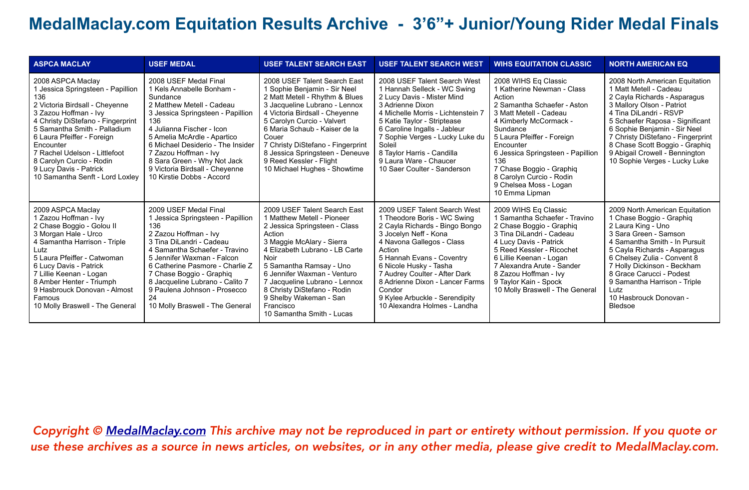| <b>ASPCA MACLAY</b>                                                                                                                                                                                                                                                                                                                                                | <b>USEF MEDAL</b>                                                                                                                                                                                                                                                                                                                                               | <b>USEF TALENT SEARCH EAST</b>                                                                                                                                                                                                                                                                                                                                               | <b>USEF TALENT SEARCH WEST</b>                                                                                                                                                                                                                                                                                                                                       | <b>WIHS EQUITATION CLASSIC</b>                                                                                                                                                                                                                                                                                                                         | <b>NORTH AMERICAN EQ</b>                                                                                                                                                                                                                                                                                                                                     |
|--------------------------------------------------------------------------------------------------------------------------------------------------------------------------------------------------------------------------------------------------------------------------------------------------------------------------------------------------------------------|-----------------------------------------------------------------------------------------------------------------------------------------------------------------------------------------------------------------------------------------------------------------------------------------------------------------------------------------------------------------|------------------------------------------------------------------------------------------------------------------------------------------------------------------------------------------------------------------------------------------------------------------------------------------------------------------------------------------------------------------------------|----------------------------------------------------------------------------------------------------------------------------------------------------------------------------------------------------------------------------------------------------------------------------------------------------------------------------------------------------------------------|--------------------------------------------------------------------------------------------------------------------------------------------------------------------------------------------------------------------------------------------------------------------------------------------------------------------------------------------------------|--------------------------------------------------------------------------------------------------------------------------------------------------------------------------------------------------------------------------------------------------------------------------------------------------------------------------------------------------------------|
| 2008 ASPCA Maclay<br>1 Jessica Springsteen - Papillion<br>136<br>2 Victoria Birdsall - Cheyenne<br>3 Zazou Hoffman - Ivy<br>4 Christy DiStefano - Fingerprint<br>5 Samantha Smith - Palladium<br>6 Laura Pfeiffer - Foreign<br>Encounter<br>7 Rachel Udelson - Littlefoot<br>8 Carolyn Curcio - Rodin<br>9 Lucy Davis - Patrick<br>10 Samantha Senft - Lord Loxley | 2008 USEF Medal Final<br>1 Kels Annabelle Bonham -<br>Sundance<br>2 Matthew Metell - Cadeau<br>3 Jessica Springsteen - Papillion<br>136<br>4 Julianna Fischer - Icon<br>5 Amelia McArdle - Apartico<br>6 Michael Desiderio - The Insider<br>7 Zazou Hoffman - Ivy<br>8 Sara Green - Why Not Jack<br>9 Victoria Birdsall - Cheyenne<br>10 Kirstie Dobbs - Accord | 2008 USEF Talent Search East<br>1 Sophie Benjamin - Sir Neel<br>2 Matt Metell - Rhythm & Blues<br>3 Jacqueline Lubrano - Lennox<br>4 Victoria Birdsall - Cheyenne<br>5 Carolyn Curcio - Valvert<br>6 Maria Schaub - Kaiser de la<br>Couer<br>7 Christy DiStefano - Fingerprint<br>8 Jessica Springsteen - Deneuve<br>9 Reed Kessler - Flight<br>10 Michael Hughes - Showtime | 2008 USEF Talent Search West<br>1 Hannah Selleck - WC Swing<br>2 Lucy Davis - Mister Mind<br>3 Adrienne Dixon<br>4 Michelle Morris - Lichtenstein 7<br>5 Katie Taylor - Striptease<br>6 Caroline Ingalls - Jableur<br>7 Sophie Verges - Lucky Luke du<br>Soleil<br>8 Taylor Harris - Candilla<br>9 Laura Ware - Chaucer<br>10 Saer Coulter - Sanderson               | 2008 WIHS Eq Classic<br>1 Katherine Newman - Class<br>Action<br>2 Samantha Schaefer - Aston<br>3 Matt Metell - Cadeau<br>4 Kimberly McCormack -<br>Sundance<br>5 Laura Pfeiffer - Foreign<br>Encounter<br>6 Jessica Springsteen - Papillion<br>136<br>7 Chase Boggio - Graphiq<br>8 Carolyn Curcio - Rodin<br>9 Chelsea Moss - Logan<br>10 Emma Lipman | 2008 North American Equitation<br>1 Matt Metell - Cadeau<br>2 Cayla Richards - Asparagus<br>3 Mallory Olson - Patriot<br>4 Tina DiLandri - RSVP<br>5 Schaefer Raposa - Significant<br>6 Sophie Benjamin - Sir Neel<br>7 Christy DiStefano - Fingerprint<br>8 Chase Scott Boggio - Graphiq<br>9 Abigail Crowell - Bennington<br>10 Sophie Verges - Lucky Luke |
| 2009 ASPCA Maclay<br>1 Zazou Hoffman - Ivy<br>2 Chase Boggio - Golou II<br>3 Morgan Hale - Urco<br>4 Samantha Harrison - Triple<br>Lutz<br>5 Laura Pfeiffer - Catwoman<br>6 Lucy Davis - Patrick<br>7 Lillie Keenan - Logan<br>8 Amber Henter - Triumph<br>9 Hasbrouck Donovan - Almost<br>Famous<br>10 Molly Braswell - The General                               | 2009 USEF Medal Final<br>Jessica Springsteen - Papillion<br>136<br>2 Zazou Hoffman - Ivy<br>3 Tina DiLandri - Cadeau<br>4 Samantha Schaefer - Travino<br>5 Jennifer Waxman - Falcon<br>6 Catherine Pasmore - Charlie Z<br>7 Chase Boggio - Graphiq<br>8 Jacqueline Lubrano - Calito 7<br>9 Paulena Johnson - Prosecco<br>24<br>10 Molly Braswell - The General  | 2009 USEF Talent Search East<br>1 Matthew Metell - Pioneer<br>2 Jessica Springsteen - Class<br>Action<br>3 Maggie McAlary - Sierra<br>4 Elizabeth Lubrano - LB Carte<br>Noir<br>5 Samantha Ramsay - Uno<br>6 Jennifer Waxman - Venturo<br>7 Jacqueline Lubrano - Lennox<br>8 Christy DiStefano - Rodin<br>9 Shelby Wakeman - San<br>Francisco<br>10 Samantha Smith - Lucas   | 2009 USEF Talent Search West<br>1 Theodore Boris - WC Swing<br>2 Cayla Richards - Bingo Bongo<br>3 Jocelyn Neff - Kona<br>4 Navona Gallegos - Class<br>Action<br>5 Hannah Evans - Coventry<br>6 Nicole Husky - Tasha<br>7 Audrey Coulter - After Dark<br>8 Adrienne Dixon - Lancer Farms<br>Condor<br>9 Kylee Arbuckle - Serendipity<br>10 Alexandra Holmes - Landha | 2009 WIHS Eq Classic<br>1 Samantha Schaefer - Travino<br>2 Chase Boggio - Graphiq<br>3 Tina DiLandri - Cadeau<br>4 Lucy Davis - Patrick<br>5 Reed Kessler - Ricochet<br>6 Lillie Keenan - Logan<br>7 Alexandra Arute - Sander<br>8 Zazou Hoffman - Ivy<br>9 Taylor Kain - Spock<br>10 Molly Braswell - The General                                     | 2009 North American Equitation<br>1 Chase Boggio - Graphiq<br>2 Laura King - Uno<br>3 Sara Green - Samson<br>4 Samantha Smith - In Pursuit<br>5 Cayla Richards - Asparagus<br>6 Chelsey Zulia - Convent 8<br>7 Holly Dickinson - Beckham<br>8 Grace Carucci - Podest<br>9 Samantha Harrison - Triple<br>Lutz<br>10 Hasbrouck Donovan -<br>Bledsoe            |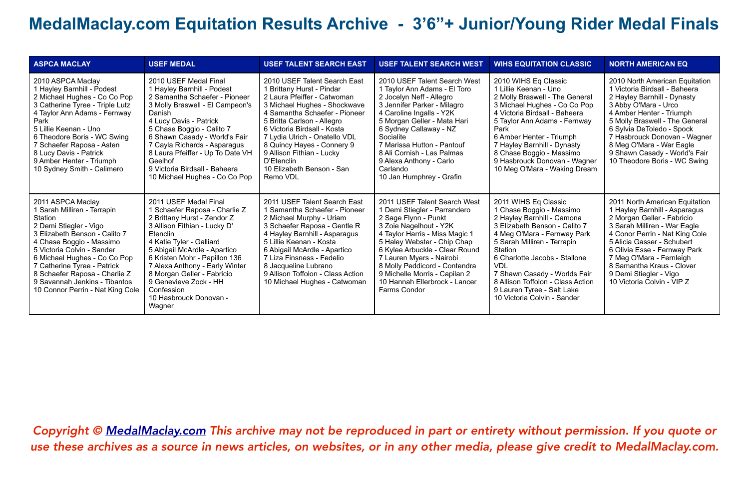| <b>ASPCA MACLAY</b>                                                                                                                                                                                                                                                                                                                                   | <b>USEF MEDAL</b>                                                                                                                                                                                                                                                                                                                                                          | <b>USEF TALENT SEARCH EAST</b>                                                                                                                                                                                                                                                                                                                                            | <b>USEF TALENT SEARCH WEST</b>                                                                                                                                                                                                                                                                                                                                   | <b>WIHS EQUITATION CLASSIC</b>                                                                                                                                                                                                                                                                                                                                            | <b>NORTH AMERICAN EQ</b>                                                                                                                                                                                                                                                                                                                       |
|-------------------------------------------------------------------------------------------------------------------------------------------------------------------------------------------------------------------------------------------------------------------------------------------------------------------------------------------------------|----------------------------------------------------------------------------------------------------------------------------------------------------------------------------------------------------------------------------------------------------------------------------------------------------------------------------------------------------------------------------|---------------------------------------------------------------------------------------------------------------------------------------------------------------------------------------------------------------------------------------------------------------------------------------------------------------------------------------------------------------------------|------------------------------------------------------------------------------------------------------------------------------------------------------------------------------------------------------------------------------------------------------------------------------------------------------------------------------------------------------------------|---------------------------------------------------------------------------------------------------------------------------------------------------------------------------------------------------------------------------------------------------------------------------------------------------------------------------------------------------------------------------|------------------------------------------------------------------------------------------------------------------------------------------------------------------------------------------------------------------------------------------------------------------------------------------------------------------------------------------------|
| 2010 ASPCA Maclay<br>1 Hayley Barnhill - Podest<br>2 Michael Hughes - Co Co Pop<br>3 Catherine Tyree - Triple Lutz<br>4 Taylor Ann Adams - Fernway<br>Park<br>5 Lillie Keenan - Uno<br>6 Theodore Boris - WC Swing<br>7 Schaefer Raposa - Asten<br>8 Lucy Davis - Patrick<br>9 Amber Henter - Triumph<br>10 Sydney Smith - Calimero                   | 2010 USEF Medal Final<br>1 Hayley Barnhill - Podest<br>2 Samantha Schaefer - Pioneer<br>3 Molly Braswell - El Campeon's<br>Danish<br>4 Lucy Davis - Patrick<br>5 Chase Boggio - Calito 7<br>6 Shawn Casady - World's Fair<br>7 Cayla Richards - Asparagus<br>8 Laura Pfeiffer - Up To Date VH<br>Geelhof<br>9 Victoria Birdsall - Baheera<br>10 Michael Hughes - Co Co Pop | 2010 USEF Talent Search East<br>1 Brittany Hurst - Pindar<br>2 Laura Pfeiffer - Catwoman<br>3 Michael Hughes - Shockwave<br>4 Samantha Schaefer - Pioneer<br>5 Britta Carlson - Allegro<br>6 Victoria Birdsall - Kosta<br>7 Lydia Ulrich - Onatello VDL<br>8 Quincy Hayes - Connery 9<br>9 Allison Fithian - Lucky<br>D'Etenclin<br>10 Elizabeth Benson - San<br>Remo VDL | 2010 USEF Talent Search West<br>1 Taylor Ann Adams - El Toro<br>2 Jocelyn Neff - Allegro<br>3 Jennifer Parker - Milagro<br>4 Caroline Ingalls - Y2K<br>5 Morgan Geller - Mata Hari<br>6 Sydney Callaway - NZ<br>Socialite<br>7 Marissa Hutton - Pantouf<br>8 Ali Cornish - Las Palmas<br>9 Alexa Anthony - Carlo<br>Carlando<br>10 Jan Humphrey - Grafin         | 2010 WIHS Eq Classic<br>1 Lillie Keenan - Uno<br>2 Molly Braswell - The General<br>3 Michael Hughes - Co Co Pop<br>4 Victoria Birdsall - Baheera<br>5 Taylor Ann Adams - Fernway<br>Park<br>6 Amber Henter - Triumph<br>7 Hayley Barnhill - Dynasty<br>8 Chase Boggio - Massimo<br>9 Hasbrouck Donovan - Wagner<br>10 Meg O'Mara - Waking Dream                           | 2010 North American Equitation<br>1 Victoria Birdsall - Baheera<br>2 Hayley Barnhill - Dynasty<br>3 Abby O'Mara - Urco<br>4 Amber Henter - Triumph<br>5 Molly Braswell - The General<br>6 Sylvia DeToledo - Spock<br>7 Hasbrouck Donovan - Wagner<br>8 Meg O'Mara - War Eagle<br>9 Shawn Casady - World's Fair<br>10 Theodore Boris - WC Swing |
| 2011 ASPCA Maclay<br>I Sarah Milliren - Terrapin<br>Station<br>2 Demi Stiegler - Vigo<br>3 Elizabeth Benson - Calito 7<br>4 Chase Boggio - Massimo<br>5 Victoria Colvin - Sander<br>6 Michael Hughes - Co Co Pop<br>7 Catherine Tyree - Patrick<br>8 Schaefer Raposa - Charlie Z<br>9 Savannah Jenkins - Tibantos<br>10 Connor Perrin - Nat King Cole | 2011 USEF Medal Final<br>1 Schaefer Raposa - Charlie Z<br>2 Brittany Hurst - Zendor Z<br>3 Allison Fithian - Lucky D'<br>Etenclin<br>4 Katie Tyler - Galliard<br>5 Abigail McArdle - Apartico<br>6 Kristen Mohr - Papillon 136<br>7 Alexa Anthony - Early Winter<br>8 Morgan Geller - Fabricio<br>9 Genevieve Zock - HH<br>Confession<br>10 Hasbrouck Donovan -<br>Wagner  | 2011 USEF Talent Search East<br>1 Samantha Schaefer - Pioneer<br>2 Michael Murphy - Uriam<br>3 Schaefer Raposa - Gentle R<br>4 Hayley Barnhill - Asparagus<br>5 Lillie Keenan - Kosta<br>6 Abigail McArdle - Apartico<br>7 Liza Finsness - Fedelio<br>8 Jacqueline Lubrano<br>9 Allison Toffolon - Class Action<br>10 Michael Hughes - Catwoman                           | 2011 USEF Talent Search West<br>1 Demi Stiegler - Parrandero<br>2 Sage Flynn - Punkt<br>3 Zoie Nagelhout - Y2K<br>4 Taylor Harris - Miss Magic 1<br>5 Haley Webster - Chip Chap<br>6 Kylee Arbuckle - Clear Round<br>7 Lauren Myers - Nairobi<br>8 Molly Peddicord - Contendra<br>9 Michelle Morris - Capilan 2<br>10 Hannah Ellerbrock - Lancer<br>Farms Condor | 2011 WIHS Eq Classic<br>1 Chase Boggio - Massimo<br>2 Hayley Barnhill - Camona<br>3 Elizabeth Benson - Calito 7<br>4 Meg O'Mara - Fernway Park<br>5 Sarah Milliren - Terrapin<br>Station<br>6 Charlotte Jacobs - Stallone<br><b>VDL</b><br>7 Shawn Casady - Worlds Fair<br>8 Allison Toffolon - Class Action<br>9 Lauren Tyree - Salt Lake<br>10 Victoria Colvin - Sander | 2011 North American Equitation<br>1 Hayley Barnhill - Asparagus<br>2 Morgan Geller - Fabricio<br>3 Sarah Milliren - War Eagle<br>4 Conor Perrin - Nat King Cole<br>5 Alicia Gasser - Schubert<br>6 Olivia Esse - Fernway Park<br>7 Meg O'Mara - Fernleigh<br>8 Samantha Kraus - Clover<br>9 Demi Stiegler - Vigo<br>10 Victoria Colvin - VIP Z |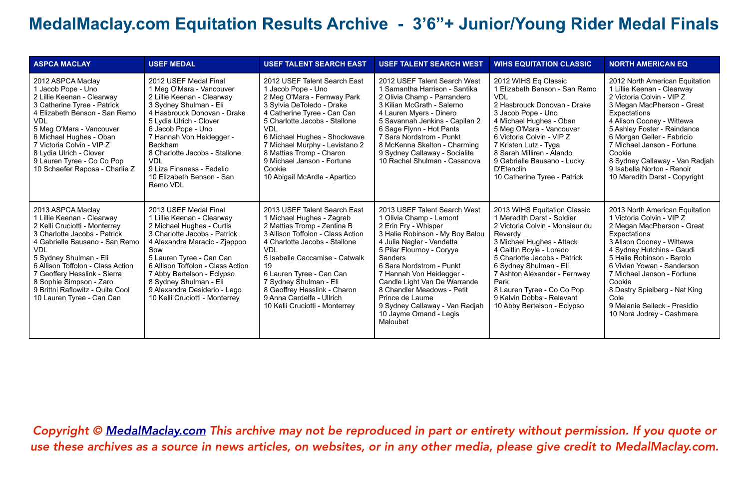| <b>ASPCA MACLAY</b>                                                                                                                                                                                                                                                                                                                                         | <b>USEF MEDAL</b>                                                                                                                                                                                                                                                                                                                                            | <b>USEF TALENT SEARCH EAST</b>                                                                                                                                                                                                                                                                                                                                            | <b>USEF TALENT SEARCH WEST</b>                                                                                                                                                                                                                                                                                                                                                                           | <b>WIHS EQUITATION CLASSIC</b>                                                                                                                                                                                                                                                                                                                                | <b>NORTH AMERICAN EQ</b>                                                                                                                                                                                                                                                                                                                                                     |
|-------------------------------------------------------------------------------------------------------------------------------------------------------------------------------------------------------------------------------------------------------------------------------------------------------------------------------------------------------------|--------------------------------------------------------------------------------------------------------------------------------------------------------------------------------------------------------------------------------------------------------------------------------------------------------------------------------------------------------------|---------------------------------------------------------------------------------------------------------------------------------------------------------------------------------------------------------------------------------------------------------------------------------------------------------------------------------------------------------------------------|----------------------------------------------------------------------------------------------------------------------------------------------------------------------------------------------------------------------------------------------------------------------------------------------------------------------------------------------------------------------------------------------------------|---------------------------------------------------------------------------------------------------------------------------------------------------------------------------------------------------------------------------------------------------------------------------------------------------------------------------------------------------------------|------------------------------------------------------------------------------------------------------------------------------------------------------------------------------------------------------------------------------------------------------------------------------------------------------------------------------------------------------------------------------|
| 2012 ASPCA Maclay<br>1 Jacob Pope - Uno<br>2 Lillie Keenan - Clearway<br>3 Catherine Tyree - Patrick<br>4 Elizabeth Benson - San Remo<br><b>VDL</b><br>5 Meg O'Mara - Vancouver<br>6 Michael Hughes - Oban<br>7 Victoria Colvin - VIP Z<br>8 Lydia Ulrich - Clover<br>9 Lauren Tyree - Co Co Pop<br>10 Schaefer Raposa - Charlie Z                          | 2012 USEF Medal Final<br>1 Meg O'Mara - Vancouver<br>2 Lillie Keenan - Clearway<br>3 Sydney Shulman - Eli<br>4 Hasbrouck Donovan - Drake<br>5 Lydia Ulrich - Clover<br>6 Jacob Pope - Uno<br>7 Hannah Von Heidegger -<br><b>Beckham</b><br>8 Charlotte Jacobs - Stallone<br><b>VDL</b><br>9 Liza Finsness - Fedelio<br>10 Elizabeth Benson - San<br>Remo VDL | 2012 USEF Talent Search East<br>1 Jacob Pope - Uno<br>2 Meg O'Mara - Fernway Park<br>3 Sylvia DeToledo - Drake<br>4 Catherine Tyree - Can Can<br>5 Charlotte Jacobs - Stallone<br><b>VDL</b><br>6 Michael Hughes - Shockwave<br>7 Michael Murphy - Levistano 2<br>8 Mattias Tromp - Charon<br>9 Michael Janson - Fortune<br>Cookie<br>10 Abigail McArdle - Apartico       | 2012 USEF Talent Search West<br>1 Samantha Harrison - Santika<br>2 Olivia Champ - Parrandero<br>3 Kilian McGrath - Salerno<br>4 Lauren Myers - Dinero<br>5 Savannah Jenkins - Capilan 2<br>6 Sage Flynn - Hot Pants<br>7 Sara Nordstrom - Punkt<br>8 McKenna Skelton - Charming<br>9 Sydney Callaway - Socialite<br>10 Rachel Shulman - Casanova                                                         | 2012 WIHS Eq Classic<br>1 Elizabeth Benson - San Remo<br>VDI<br>2 Hasbrouck Donovan - Drake<br>3 Jacob Pope - Uno<br>4 Michael Hughes - Oban<br>5 Meg O'Mara - Vancouver<br>6 Victoria Colvin - VIP Z<br>7 Kristen Lutz - Tyga<br>8 Sarah Milliren - Alando<br>9 Gabrielle Bausano - Lucky<br>D'Etenclin<br>10 Catherine Tyree - Patrick                      | 2012 North American Equitation<br>1 Lillie Keenan - Clearway<br>2 Victoria Colvin - VIP Z<br>3 Megan MacPherson - Great<br>Expectations<br>4 Alison Cooney - Wittewa<br>5 Ashley Foster - Raindance<br>6 Morgan Geller - Fabricio<br>7 Michael Janson - Fortune<br>Cookie<br>8 Sydney Callaway - Van Radjah<br>9 Isabella Norton - Renoir<br>10 Meredith Darst - Copyright   |
| 2013 ASPCA Maclay<br>1 Lillie Keenan - Clearway<br>2 Kelli Cruciotti - Monterrey<br>3 Charlotte Jacobs - Patrick<br>4 Gabrielle Bausano - San Remo<br><b>VDL</b><br>5 Sydney Shulman - Eli<br>6 Allison Toffolon - Class Action<br>7 Geoffery Hesslink - Sierra<br>8 Sophie Simpson - Zaro<br>9 Brittni Raflowitz - Quite Cool<br>10 Lauren Tyree - Can Can | 2013 USEF Medal Final<br>1 Lillie Keenan - Clearway<br>2 Michael Hughes - Curtis<br>3 Charlotte Jacobs - Patrick<br>4 Alexandra Maracic - Zjappoo<br>Sow<br>5 Lauren Tyree - Can Can<br>6 Allison Toffolon - Class Action<br>7 Abby Bertelson - Eclypso<br>8 Sydney Shulman - Eli<br>9 Alexandra Desiderio - Lego<br>10 Kelli Cruciotti - Monterrey          | 2013 USEF Talent Search East<br>1 Michael Hughes - Zagreb<br>2 Mattias Tromp - Zentina B<br>3 Allison Toffolon - Class Action<br>4 Charlotte Jacobs - Stallone<br><b>VDL</b><br>5 Isabelle Caccamise - Catwalk<br>19<br>6 Lauren Tyree - Can Can<br>7 Sydney Shulman - Eli<br>8 Geoffrey Hesslink - Charon<br>9 Anna Cardelfe - Ullrich<br>10 Kelli Cruciotti - Monterrey | 2013 USEF Talent Search West<br>1 Olivia Champ - Lamont<br>2 Erin Fry - Whisper<br>3 Halie Robinson - My Boy Balou<br>4 Julia Nagler - Vendetta<br>5 Pilar Flournoy - Coryye<br>Sanders<br>6 Sara Nordstrom - Punkt<br>7 Hannah Von Heidegger -<br>Candle Light Van De Warrande<br>8 Chandler Meadows - Petit<br>Prince de Laume<br>9 Sydney Callaway - Van Radjah<br>10 Jayme Omand - Legis<br>Maloubet | 2013 WIHS Equitation Classic<br>1 Meredith Darst - Soldier<br>2 Victoria Colvin - Monsieur du<br>Reverdy<br>3 Michael Hughes - Attack<br>4 Caitlin Boyle - Loredo<br>5 Charlotte Jacobs - Patrick<br>6 Sydney Shulman - Eli<br>7 Ashton Alexander - Fernway<br>Park<br>8 Lauren Tyree - Co Co Pop<br>9 Kalvin Dobbs - Relevant<br>10 Abby Bertelson - Eclypso | 2013 North American Equitation<br>1 Victoria Colvin - VIP Z<br>2 Megan MacPherson - Great<br>Expectations<br>3 Alison Cooney - Wittewa<br>4 Sydney Hutchins - Gaudi<br>5 Halie Robinson - Barolo<br>6 Vivian Yowan - Sanderson<br>7 Michael Janson - Fortune<br>Cookie<br>8 Destry Spielberg - Nat King<br>Cole<br>9 Melanie Selleck - Presidio<br>10 Nora Jodrey - Cashmere |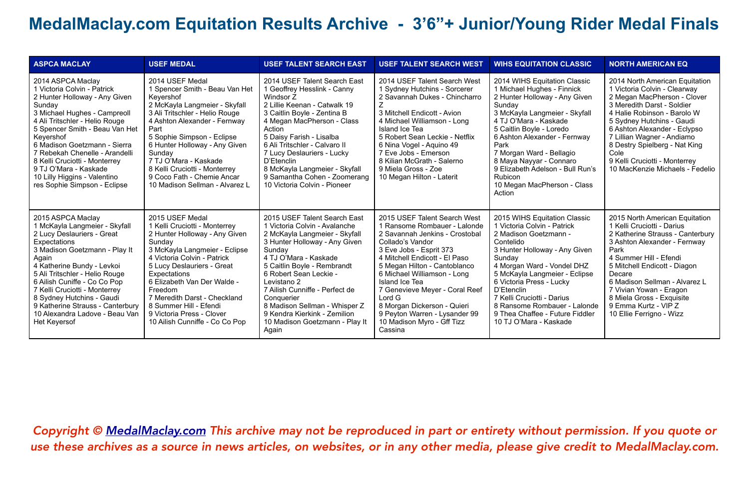| <b>ASPCA MACLAY</b>                                                                                                                                                                                                                                                                                                                                                                                      | <b>USEF MEDAL</b>                                                                                                                                                                                                                                                                                                                                                            | <b>USEF TALENT SEARCH EAST</b>                                                                                                                                                                                                                                                                                                                                                                         | <b>USEF TALENT SEARCH WEST</b>                                                                                                                                                                                                                                                                                                                                                                                       | <b>WIHS EQUITATION CLASSIC</b>                                                                                                                                                                                                                                                                                                                                                            | <b>NORTH AMERICAN EQ</b>                                                                                                                                                                                                                                                                                                                                           |
|----------------------------------------------------------------------------------------------------------------------------------------------------------------------------------------------------------------------------------------------------------------------------------------------------------------------------------------------------------------------------------------------------------|------------------------------------------------------------------------------------------------------------------------------------------------------------------------------------------------------------------------------------------------------------------------------------------------------------------------------------------------------------------------------|--------------------------------------------------------------------------------------------------------------------------------------------------------------------------------------------------------------------------------------------------------------------------------------------------------------------------------------------------------------------------------------------------------|----------------------------------------------------------------------------------------------------------------------------------------------------------------------------------------------------------------------------------------------------------------------------------------------------------------------------------------------------------------------------------------------------------------------|-------------------------------------------------------------------------------------------------------------------------------------------------------------------------------------------------------------------------------------------------------------------------------------------------------------------------------------------------------------------------------------------|--------------------------------------------------------------------------------------------------------------------------------------------------------------------------------------------------------------------------------------------------------------------------------------------------------------------------------------------------------------------|
| 2014 ASPCA Maclay<br>1 Victoria Colvin - Patrick<br>2 Hunter Holloway - Any Given<br>Sunday<br>3 Michael Hughes - Campreoll<br>4 Ali Tritschler - Helio Rouge<br>5 Spencer Smith - Beau Van Het<br>Keyershof<br>6 Madison Goetzmann - Sierra<br>7 Rebekah Chenelle - Arandelli<br>8 Kelli Cruciotti - Monterrey<br>9 TJ O'Mara - Kaskade<br>10 Lilly Higgins - Valentino<br>res Sophie Simpson - Eclipse | 2014 USEF Medal<br>1 Spencer Smith - Beau Van Het<br>Keyershof<br>2 McKayla Langmeier - Skyfall<br>3 Ali Tritschler - Helio Rouge<br>4 Ashton Alexander - Fernway<br>Part<br>5 Sophie Simpson - Eclipse<br>6 Hunter Holloway - Any Given<br>Sunday<br>7 TJ O'Mara - Kaskade<br>8 Kelli Cruciotti - Monterrey<br>9 Coco Fath - Chemie Ancar<br>10 Madison Sellman - Alvarez L | 2014 USEF Talent Search East<br>1 Geoffrey Hesslink - Canny<br>Windsor Z<br>2 Lillie Keenan - Catwalk 19<br>3 Caitlin Boyle - Zentina B<br>4 Megan MacPherson - Class<br>Action<br>5 Daisy Farish - Lisalba<br>6 Ali Tritschler - Calvaro II<br>7 Lucy Deslauriers - Lucky<br>D'Etenclin<br>8 McKayla Langmeier - Skyfall<br>9 Samantha Cohen - Zoomerang<br>10 Victoria Colvin - Pioneer              | 2014 USEF Talent Search West<br>1 Sydney Hutchins - Sorcerer<br>2 Savannah Dukes - Chincharro<br>3 Mitchell Endicott - Avion<br>4 Michael Williamson - Long<br>Island Ice Tea<br>5 Robert Sean Leckie - Netflix<br>6 Nina Vogel - Aguino 49<br>7 Eve Jobs - Emerson<br>8 Kilian McGrath - Salerno<br>9 Miela Gross - Zoe<br>10 Megan Hilton - Laterit                                                                | 2014 WIHS Equitation Classic<br>1 Michael Hughes - Finnick<br>2 Hunter Holloway - Any Given<br>Sunday<br>3 McKayla Langmeier - Skyfall<br>4 TJ O'Mara - Kaskade<br>5 Caitlin Boyle - Loredo<br>6 Ashton Alexander - Fernway<br>Park<br>7 Morgan Ward - Bellagio<br>8 Maya Nayyar - Connaro<br>9 Elizabeth Adelson - Bull Run's<br><b>Rubicon</b><br>10 Megan MacPherson - Class<br>Action | 2014 North American Equitation<br>1 Victoria Colvin - Clearway<br>2 Megan MacPherson - Clover<br>3 Meredith Darst - Soldier<br>4 Halie Robinson - Barolo W<br>5 Sydney Hutchins - Gaudi<br>6 Ashton Alexander - Eclypso<br>7 Lillian Wagner - Andiamo<br>8 Destry Spielberg - Nat King<br>Cole<br>9 Kelli Cruciotti - Monterrey<br>10 MacKenzie Michaels - Fedelio |
| 2015 ASPCA Maclay<br>1 McKayla Langmeier - Skyfall<br>2 Lucy Deslauriers - Great<br>Expectations<br>3 Madison Goetzmann - Play It<br>Again<br>4 Katherine Bundy - Levkoi<br>5 Ali Tritschler - Helio Rouge<br>6 Ailish Cuniffe - Co Co Pop<br>7 Kelli Cruciotti - Monterrey<br>8 Sydney Hutchins - Gaudi<br>9 Katherine Strauss - Canterbury<br>10 Alexandra Ladove - Beau Van<br><b>Het Keyersof</b>    | 2015 USEF Medal<br>1 Kelli Cruciotti - Monterrey<br>2 Hunter Holloway - Any Given<br>Sunday<br>3 McKayla Langmeier - Eclipse<br>4 Victoria Colvin - Patrick<br>5 Lucy Deslauriers - Great<br>Expectations<br>6 Elizabeth Van Der Walde -<br>Freedom<br>7 Meredith Darst - Checkland<br>8 Summer Hill - Efendi<br>9 Victoria Press - Clover<br>10 Ailish Cunniffe - Co Co Pop | 2015 USEF Talent Search East<br>1 Victoria Colvin - Avalanche<br>2 McKayla Langmeier - Skyfall<br>3 Hunter Holloway - Any Given<br>Sunday<br>4 TJ O'Mara - Kaskade<br>5 Caitlin Boyle - Rembrandt<br>6 Robert Sean Leckie -<br>Levistano 2<br>7 Ailish Cunniffe - Perfect de<br>Conquerier<br>8 Madison Sellman - Whisper Z<br>9 Kendra Kierkink - Zemilion<br>10 Madison Goetzmann - Play It<br>Again | 2015 USEF Talent Search West<br>1 Ransome Rombauer - Lalonde<br>2 Savannah Jenkins - Crostobal<br>Collado's Vandor<br>3 Eve Jobs - Esprit 373<br>4 Mitchell Endicott - El Paso<br>5 Megan Hilton - Cantoblanco<br>6 Michael Williamson - Long<br>Island Ice Tea<br>7 Genevieve Meyer - Coral Reef<br>Lord G<br>8 Morgan Dickerson - Quieri<br>9 Peyton Warren - Lysander 99<br>10 Madison Myro - Gff Tizz<br>Cassina | 2015 WIHS Equitation Classic<br>1 Victoria Colvin - Patrick<br>2 Madison Goetzmann -<br>Contelido<br>3 Hunter Holloway - Any Given<br>Sunday<br>4 Morgan Ward - Vondel DHZ<br>5 McKayla Langmeier - Eclipse<br>6 Victoria Press - Lucky<br>D'Etenclin<br>7 Kelli Cruciotti - Darius<br>8 Ransome Rombauer - Lalonde<br>9 Thea Chaffee - Future Fiddler<br>10 TJ O'Mara - Kaskade          | 2015 North American Equitation<br>1 Kelli Cruciotti - Darius<br>2 Katherine Strauss - Canterbury<br>3 Ashton Alexander - Fernway<br>Park<br>4 Summer Hill - Efendi<br>5 Mitchell Endicott - Diagon<br>Decare<br>6 Madison Sellman - Alvarez L<br>7 Vivian Yowan - Eragon<br>8 Miela Gross - Exquisite<br>9 Emma Kurtz - VIP Z<br>10 Ellie Ferrigno - Wizz          |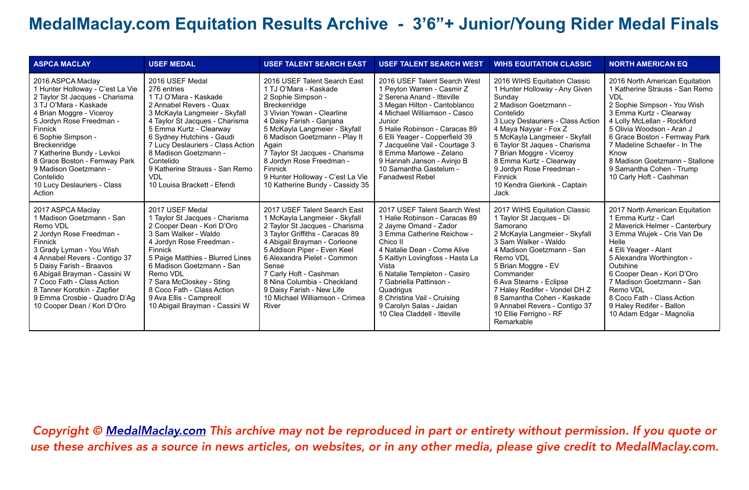| <b>ASPCA MACLAY</b>                                                                                                                                                                                                                                                                                                                                                            | <b>USEF MEDAL</b>                                                                                                                                                                                                                                                                                                                                                       | <b>USEF TALENT SEARCH EAST</b>                                                                                                                                                                                                                                                                                                                                                   | <b>USEF TALENT SEARCH WEST</b>                                                                                                                                                                                                                                                                                                                                                       | <b>WIHS EQUITATION CLASSIC</b>                                                                                                                                                                                                                                                                                                                                                      | <b>NORTH AMERICAN EQ</b>                                                                                                                                                                                                                                                                                                                                        |
|--------------------------------------------------------------------------------------------------------------------------------------------------------------------------------------------------------------------------------------------------------------------------------------------------------------------------------------------------------------------------------|-------------------------------------------------------------------------------------------------------------------------------------------------------------------------------------------------------------------------------------------------------------------------------------------------------------------------------------------------------------------------|----------------------------------------------------------------------------------------------------------------------------------------------------------------------------------------------------------------------------------------------------------------------------------------------------------------------------------------------------------------------------------|--------------------------------------------------------------------------------------------------------------------------------------------------------------------------------------------------------------------------------------------------------------------------------------------------------------------------------------------------------------------------------------|-------------------------------------------------------------------------------------------------------------------------------------------------------------------------------------------------------------------------------------------------------------------------------------------------------------------------------------------------------------------------------------|-----------------------------------------------------------------------------------------------------------------------------------------------------------------------------------------------------------------------------------------------------------------------------------------------------------------------------------------------------------------|
| 2016 ASPCA Maclay<br>1 Hunter Holloway - C'est La Vie<br>2 Taylor St Jacques - Charisma<br>3 TJ O'Mara - Kaskade<br>4 Brian Moggre - Viceroy<br>5 Jordyn Rose Freedman -<br>Finnick<br>6 Sophie Simpson -<br><b>Breckenridge</b><br>7 Katherine Bundy - Levkoi<br>8 Grace Boston - Fernway Park<br>9 Madison Goetzmann -<br>Contelido<br>10 Lucy Deslauriers - Class<br>Action | 2016 USEF Medal<br>276 entries<br>1 TJ O'Mara - Kaskade<br>2 Annabel Revers - Quax<br>3 McKayla Langmeier - Skyfall<br>4 Taylor St Jacques - Charisma<br>5 Emma Kurtz - Clearway<br>6 Sydney Hutchins - Gaudi<br>7 Lucy Deslauriers - Class Action<br>8 Madison Goetzmann -<br>Contelido<br>9 Katherine Strauss - San Remo<br><b>VDL</b><br>10 Louisa Brackett - Efendi | 2016 USEF Talent Search East<br>1 TJ O'Mara - Kaskade<br>2 Sophie Simpson -<br>Breckenridge<br>3 Vivian Yowan - Clearline<br>4 Daisy Farish - Ganjana<br>5 McKayla Langmeier - Skyfall<br>6 Madison Goetzmann - Play It<br>Again<br>7 Taylor St Jacques - Charisma<br>8 Jordyn Rose Freedman -<br>Finnick<br>9 Hunter Holloway - C'est La Vie<br>10 Katherine Bundy - Cassidy 35 | 2016 USEF Talent Search West<br>1 Pevton Warren - Casmir Z<br>2 Serena Anand - Itteville<br>3 Megan Hilton - Cantoblanco<br>4 Michael Williamson - Casco<br>Junior<br>5 Halie Robinson - Caracas 89<br>6 Elli Yeager - Copperfield 39<br>7 Jacqueline Vail - Courtage 3<br>8 Emma Marlowe - Zelano<br>9 Hannah Janson - Avinjo B<br>10 Samantha Gastelum -<br><b>Fanadwest Rebel</b> | 2016 WIHS Equitation Classic<br>1 Hunter Holloway - Any Given<br>Sunday<br>2 Madison Goetzmann -<br>Contelido<br>3 Lucy Deslauriers - Class Action<br>4 Maya Nayyar - Fox Z<br>5 McKayla Langmeier - Skyfall<br>6 Taylor St Jaques - Charisma<br>7 Brian Moggre - Viceroy<br>8 Emma Kurtz - Clearway<br>9 Jordyn Rose Freedman -<br>Finnick<br>10 Kendra Gierkink - Captain<br>Jack | 2016 North American Equitation<br>1 Katherine Strauss - San Remo<br>VDI<br>2 Sophie Simpson - You Wish<br>3 Emma Kurtz - Clearway<br>4 Lolly McLellan - Rockford<br>5 Olivia Woodson - Aran J<br>6 Grace Boston - Fernway Park<br>7 Madeline Schaefer - In The<br>Know<br>8 Madison Goetzmann - Stallone<br>9 Samantha Cohen - Trump<br>10 Carly Hoft - Cashman |
| 2017 ASPCA Maclay<br>1 Madison Goetzmann - San<br>Remo VDL<br>2 Jordyn Rose Freedman -<br>Finnick<br>3 Grady Lyman - You Wish<br>4 Annabel Revers - Contigo 37<br>5 Daisy Farish - Braavos<br>6 Abigail Brayman - Cassini W<br>7 Coco Fath - Class Action<br>8 Tanner Korotkin - Zapfier<br>9 Emma Crosbie - Quadro D'Ag<br>10 Cooper Dean / Kori D'Oro                        | 2017 USEF Medal<br>1 Taylor St Jacques - Charisma<br>2 Cooper Dean - Kori D'Oro<br>3 Sam Walker - Waldo<br>4 Jordyn Rose Freedman -<br>Finnick<br>5 Paige Matthies - Blurred Lines<br>6 Madison Goetzmann - San<br>Remo VDL<br>7 Sara McCloskey - Sting<br>8 Coco Fath - Class Action<br>9 Ava Ellis - Campreoll<br>10 Abigail Brayman - Cassini W                      | 2017 USEF Talent Search East<br>1 McKayla Langmeier - Skyfall<br>2 Taylor St Jacques - Charisma<br>3 Taylor Griffiths - Caracas 89<br>4 Abigail Brayman - Corleone<br>5 Addison Piper - Even Keel<br>6 Alexandra Pielet - Common<br>Sense<br>7 Carly Hoft - Cashman<br>8 Nina Columbia - Checkland<br>9 Daisy Farish - New Life<br>10 Michael Williamson - Crimea<br>River       | 2017 USEF Talent Search West<br>1 Halie Robinson - Caracas 89<br>2 Jayme Omand - Zador<br>3 Emma Catherine Reichow -<br>Chico II<br>4 Natalie Dean - Come Alive<br>5 Kaitlyn Lovingfoss - Hasta La<br>Vista<br>6 Natalie Templeton - Casiro<br>7 Gabriella Pattinson -<br>Quadrigus<br>8 Christina Vail - Cruising<br>9 Carolyn Salas - Jaidan<br>10 Clea Claddell - Itteville       | 2017 WIHS Equitation Classic<br>1 Taylor St Jacques - Di<br>Samorano<br>2 McKayla Langmeier - Skyfall<br>3 Sam Walker - Waldo<br>4 Madison Goetzmann - San<br>Remo VDL<br>5 Brian Moggre - EV<br>Commander<br>6 Ava Stearns - Eclipse<br>7 Haley Redifer - Vondel DH Z<br>8 Samantha Cohen - Kaskade<br>9 Annabel Revers - Contigo 37<br>10 Ellie Ferrigno - RF<br>Remarkable       | 2017 North American Equitation<br>1 Emma Kurtz - Carl<br>2 Maverick Helmer - Canterbury<br>3 Emma Wujek - Cris Van De<br>Helle<br>4 Elli Yeager - Alant<br>5 Alexandra Worthington -<br>Outshine<br>6 Cooper Dean - Kori D'Oro<br>7 Madison Goetzmann - San<br>Remo VDL<br>8 Coco Fath - Class Action<br>9 Haley Redifer - Ballon<br>10 Adam Edgar - Magnolia   |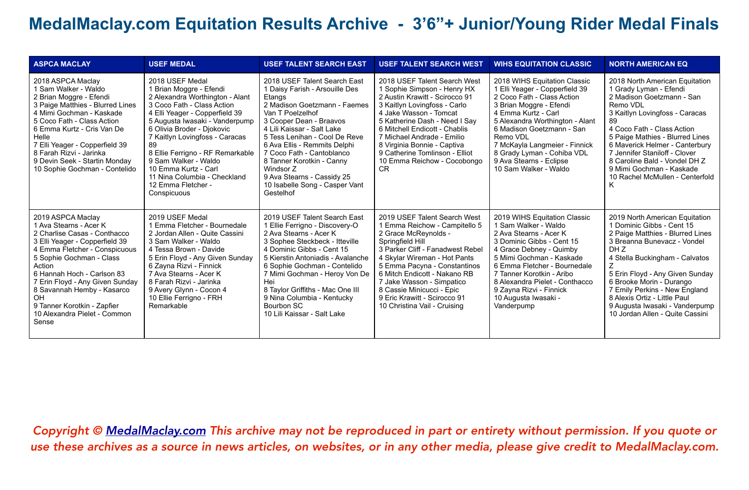| <b>ASPCA MACLAY</b>                                                                                                                                                                                                                                                                                                                                               | <b>USEF MEDAL</b>                                                                                                                                                                                                                                                                                                                                                                                        | <b>USEF TALENT SEARCH EAST</b>                                                                                                                                                                                                                                                                                                                                                                             | <b>USEF TALENT SEARCH WEST</b>                                                                                                                                                                                                                                                                                                                                          | <b>WIHS EQUITATION CLASSIC</b>                                                                                                                                                                                                                                                                                                                | <b>NORTH AMERICAN EQ</b>                                                                                                                                                                                                                                                                                                                                                      |
|-------------------------------------------------------------------------------------------------------------------------------------------------------------------------------------------------------------------------------------------------------------------------------------------------------------------------------------------------------------------|----------------------------------------------------------------------------------------------------------------------------------------------------------------------------------------------------------------------------------------------------------------------------------------------------------------------------------------------------------------------------------------------------------|------------------------------------------------------------------------------------------------------------------------------------------------------------------------------------------------------------------------------------------------------------------------------------------------------------------------------------------------------------------------------------------------------------|-------------------------------------------------------------------------------------------------------------------------------------------------------------------------------------------------------------------------------------------------------------------------------------------------------------------------------------------------------------------------|-----------------------------------------------------------------------------------------------------------------------------------------------------------------------------------------------------------------------------------------------------------------------------------------------------------------------------------------------|-------------------------------------------------------------------------------------------------------------------------------------------------------------------------------------------------------------------------------------------------------------------------------------------------------------------------------------------------------------------------------|
| 2018 ASPCA Maclay<br>I Sam Walker - Waldo<br>2 Brian Moggre - Efendi<br>3 Paige Matthies - Blurred Lines<br>4 Mimi Gochman - Kaskade<br>5 Coco Fath - Class Action<br>6 Emma Kurtz - Cris Van De<br>Helle<br>7 Elli Yeager - Copperfield 39<br>8 Farah Rizvi - Jarinka<br>9 Devin Seek - Startin Monday<br>10 Sophie Gochman - Contelido                          | 2018 USEF Medal<br>1 Brian Moggre - Efendi<br>2 Alexandra Worthington - Alant<br>3 Coco Fath - Class Action<br>4 Elli Yeager - Copperfield 39<br>5 Augusta Iwasaki - Vanderpump<br>6 Olivia Broder - Djokovic<br>7 Kaitlyn Lovingfoss - Caracas<br>8 Ellie Ferrigno - RF Remarkable<br>9 Sam Walker - Waldo<br>10 Emma Kurtz - Carl<br>11 Nina Columbia - Checkland<br>12 Emma Fletcher -<br>Conspicuous | 2018 USEF Talent Search East<br>1 Daisy Farish - Arsouille Des<br>Etangs<br>2 Madison Goetzmann - Faemes<br>Van T Poelzelhof<br>3 Cooper Dean - Braavos<br>4 Lili Kaissar - Salt Lake<br>5 Tess Lenihan - Cool De Reve<br>6 Ava Ellis - Remmits Delphi<br>7 Coco Fath - Cantoblanco<br>8 Tanner Korotkin - Canny<br>Windsor Z<br>9 Ava Stearns - Cassidy 25<br>10 Isabelle Song - Casper Vant<br>Gestelhof | 2018 USEF Talent Search West<br>1 Sophie Simpson - Henry HX<br>2 Austin Krawitt - Scirocco 91<br>3 Kaitlyn Lovingfoss - Carlo<br>4 Jake Wasson - Tomcat<br>5 Katherine Dash - Need I Say<br>6 Mitchell Endicott - Chablis<br>7 Michael Andrade - Emilio<br>8 Virginia Bonnie - Captiva<br>9 Catherine Tomlinson - Elliot<br>10 Emma Reichow - Cocobongo<br><b>CR</b>    | 2018 WIHS Equitation Classic<br>1 Elli Yeager - Copperfield 39<br>2 Coco Fath - Class Action<br>3 Brian Moggre - Efendi<br>4 Emma Kurtz - Carl<br>5 Alexandra Worthington - Alant<br>6 Madison Goetzmann - San<br>Remo VDL<br>7 McKayla Langmeier - Finnick<br>8 Grady Lyman - Cohiba VDL<br>9 Ava Stearns - Eclipse<br>10 Sam Walker - Waldo | 2018 North American Equitation<br>1 Grady Lyman - Efendi<br>2 Madison Goetzmann - San<br>Remo VDL<br>3 Kaitlyn Lovingfoss - Caracas<br>4 Coco Fath - Class Action<br>5 Paige Mathies - Blurred Lines<br>6 Maverick Helmer - Canterbury<br>7 Jennifer Staniloff - Clover<br>8 Caroline Bald - Vondel DH Z<br>9 Mimi Gochman - Kaskade<br>10 Rachel McMullen - Centerfold       |
| 2019 ASPCA Maclay<br>1 Ava Stearns - Acer K<br>2 Charlise Casas - Conthacco<br>3 Elli Yeager - Copperfield 39<br>4 Emma Fletcher - Conspicuous<br>5 Sophie Gochman - Class<br>Action<br>6 Hannah Hoch - Carlson 83<br>7 Erin Floyd - Any Given Sunday<br>8 Savannah Hemby - Kasarco<br>OH<br>9 Tanner Korotkin - Zapfier<br>10 Alexandra Pielet - Common<br>Sense | 2019 USEF Medal<br>1 Emma Fletcher - Bournedale<br>2 Jordan Allen - Quite Cassini<br>3 Sam Walker - Waldo<br>4 Tessa Brown - Davide<br>5 Erin Floyd - Any Given Sunday<br>6 Zayna Rizvi - Finnick<br>7 Ava Stearns - Acer K<br>8 Farah Rizvi - Jarinka<br>9 Avery Glynn - Cocon 4<br>10 Ellie Ferrigno - FRH<br>Remarkable                                                                               | 2019 USEF Talent Search East<br>1 Ellie Ferrigno - Discovery-O<br>2 Ava Stearns - Acer K<br>3 Sophee Steckbeck - Itteville<br>4 Dominic Gibbs - Cent 15<br>5 Kierstin Antoniadis - Avalanche<br>6 Sophie Gochman - Contelido<br>7 Mimi Gochman - Heroy Von De<br>Hei<br>8 Taylor Griffiths - Mac One III<br>9 Nina Columbia - Kentucky<br>Bourbon SC<br>10 Lili Kaissar - Salt Lake                        | 2019 USEF Talent Search West<br>1 Emma Reichow - Campitello 5<br>2 Grace McReynolds -<br>Springfield Hill<br>3 Parker Cliff - Fanadwest Rebel<br>4 Skylar Wireman - Hot Pants<br>5 Emma Pacyna - Constantinos<br>6 Mitch Endicott - Nakano RB<br>7 Jake Wasson - Simpatico<br>8 Cassie Minicucci - Epic<br>9 Eric Krawitt - Scirocco 91<br>10 Christina Vail - Cruising | 2019 WIHS Equitation Classic<br>1 Sam Walker - Waldo<br>2 Ava Stearns - Acer K<br>3 Dominic Gibbs - Cent 15<br>4 Grace Debney - Quimby<br>5 Mimi Gochman - Kaskade<br>6 Emma Fletcher - Bournedale<br>7 Tanner Korotkin - Aribo<br>8 Alexandra Pielet - Conthacco<br>9 Zayna Rizvi - Finnick<br>10 Augusta Iwasaki -<br>Vanderpump            | 2019 North American Equitation<br>1 Dominic Gibbs - Cent 15<br>2 Paige Matthies - Blurred Lines<br>3 Breanna Bunevacz - Vondel<br>DH Z<br>4 Stella Buckingham - Calvatos<br>5 Erin Floyd - Any Given Sunday<br>6 Brooke Morin - Durango<br>7 Emily Perkins - New England<br>8 Alexis Ortiz - Little Paul<br>9 Augusta Iwasaki - Vanderpump<br>10 Jordan Allen - Quite Cassini |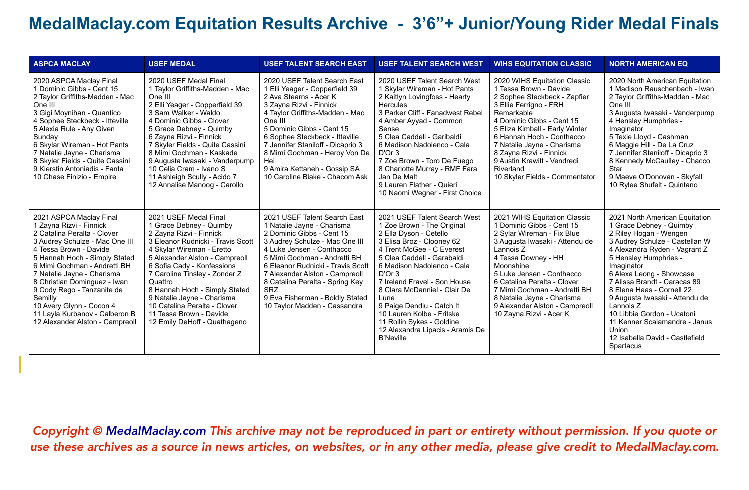| <b>ASPCA MACLAY</b>                                                                                                                                                                                                                                                                                                                                                                                                    | <b>USEF MEDAL</b>                                                                                                                                                                                                                                                                                                                                                                                                   | <b>USEF TALENT SEARCH EAST</b>                                                                                                                                                                                                                                                                                                                                                    | <b>USEF TALENT SEARCH WEST</b>                                                                                                                                                                                                                                                                                                                                                                                                              | <b>WIHS EQUITATION CLASSIC</b>                                                                                                                                                                                                                                                                                                                                    | <b>NORTH AMERICAN EQ</b>                                                                                                                                                                                                                                                                                                                                                                                                                                      |
|------------------------------------------------------------------------------------------------------------------------------------------------------------------------------------------------------------------------------------------------------------------------------------------------------------------------------------------------------------------------------------------------------------------------|---------------------------------------------------------------------------------------------------------------------------------------------------------------------------------------------------------------------------------------------------------------------------------------------------------------------------------------------------------------------------------------------------------------------|-----------------------------------------------------------------------------------------------------------------------------------------------------------------------------------------------------------------------------------------------------------------------------------------------------------------------------------------------------------------------------------|---------------------------------------------------------------------------------------------------------------------------------------------------------------------------------------------------------------------------------------------------------------------------------------------------------------------------------------------------------------------------------------------------------------------------------------------|-------------------------------------------------------------------------------------------------------------------------------------------------------------------------------------------------------------------------------------------------------------------------------------------------------------------------------------------------------------------|---------------------------------------------------------------------------------------------------------------------------------------------------------------------------------------------------------------------------------------------------------------------------------------------------------------------------------------------------------------------------------------------------------------------------------------------------------------|
| 2020 ASPCA Maclay Final<br>1 Dominic Gibbs - Cent 15<br>2 Taylor Griffiths-Madden - Mac<br>One III<br>3 Gigi Moynihan - Quantico<br>4 Sophee Steckbeck - Itteville<br>5 Alexia Rule - Any Given<br>Sunday<br>6 Skylar Wireman - Hot Pants<br>7 Natalie Jayne - Charisma<br>8 Skyler Fields - Quite Cassini<br>9 Kierstin Antoniadis - Fanta<br>10 Chase Finizio - Empire                                               | 2020 USEF Medal Final<br>1 Taylor Griffiths-Madden - Mac<br>One III<br>2 Elli Yeager - Copperfield 39<br>3 Sam Walker - Waldo<br>4 Dominic Gibbs - Clover<br>5 Grace Debney - Quimby<br>6 Zayna Rizvi - Finnick<br>7 Skyler Fields - Quite Cassini<br>8 Mimi Gochman - Kaskade<br>9 Augusta Iwasaki - Vanderpump<br>10 Celia Cram - Ivano S<br>11 Ashleigh Scully - Acido 7<br>12 Annalise Manoog - Carollo         | 2020 USEF Talent Search East<br>1 Elli Yeager - Copperfield 39<br>2 Ava Stearns - Acer K<br>3 Zayna Rizvi - Finnick<br>4 Taylor Griffiths-Madden - Mac<br>One III<br>5 Dominic Gibbs - Cent 15<br>6 Sophee Steckbeck - Itteville<br>7 Jennifer Staniloff - Dicaprio 3<br>8 Mimi Gochman - Heroy Von De<br>Hei<br>9 Amira Kettaneh - Gossip SA<br>10 Caroline Blake - Chacom Ask   | 2020 USEF Talent Search West<br>1 Skylar Wireman - Hot Pants<br>2 Kaitlyn Lovingfoss - Hearty<br><b>Hercules</b><br>3 Parker Cliff - Fanadwest Rebel<br>4 Amber Ayyad - Common<br>Sense<br>5 Clea Caddell - Garibaldi<br>6 Madison Nadolenco - Cala<br>D'Or 3<br>7 Zoe Brown - Toro De Fuego<br>8 Charlotte Murray - RMF Fara<br>Jan De Malt<br>9 Lauren Flather - Quieri<br>10 Naomi Wegner - First Choice                                 | 2020 WIHS Equitation Classic<br>1 Tessa Brown - Davide<br>2 Sophee Steckbeck - Zapfier<br>3 Ellie Ferrigno - FRH<br>Remarkable<br>4 Dominic Gibbs - Cent 15<br>5 Eliza Kimball - Early Winter<br>6 Hannah Hoch - Conthacco<br>7 Natalie Jayne - Charisma<br>8 Zayna Rizvi - Finnick<br>9 Austin Krawitt - Vendredi<br>Riverland<br>10 Skyler Fields - Commentator | 2020 North American Equitation<br>1 Madison Rauschenbach - Iwan<br>2 Taylor Griffiths-Madden - Mac<br>One III<br>3 Augusta Iwasaki - Vanderpump<br>4 Hensley Humphries -<br>Imaginator<br>5 Texie Lloyd - Cashman<br>6 Maggie Hill - De La Cruz<br>7 Jennifer Staniloff - Dicaprio 3<br>8 Kennedy McCaulley - Chacco<br>Star<br>9 Maeve O'Donovan - Skyfall<br>10 Rylee Shufelt - Quintano                                                                    |
| 2021 ASPCA Maclay Final<br>1 Zayna Rizvi - Finnick<br>2 Catalina Peralta - Clover<br>3 Audrey Schulze - Mac One III<br>4 Tessa Brown - Davide<br>5 Hannah Hoch - Simply Stated<br>6 Mimi Gochman - Andretti BH<br>7 Natalie Jayne - Charisma<br>8 Christian Dominguez - Iwan<br>9 Cody Rego - Tanzanite de<br>Semilly<br>10 Avery Glynn - Cocon 4<br>11 Layla Kurbanov - Calberon B<br>12 Alexander Alston - Campreoll | 2021 USEF Medal Final<br>1 Grace Debney - Quimby<br>2 Zayna Rizvi - Finnick<br>3 Eleanor Rudnicki - Travis Scott<br>4 Skylar Wireman - Eretto<br>5 Alexander Alston - Campreoll<br>6 Sofia Cady - Konfessions<br>7 Caroline Tinsley - Zonder Z<br>Quattro<br>8 Hannah Hoch - Simply Stated<br>9 Natalie Jayne - Charisma<br>10 Catalina Peralta - Clover<br>11 Tessa Brown - Davide<br>12 Emily DeHoff - Quathageno | 2021 USEF Talent Search East<br>1 Natalie Jayne - Charisma<br>2 Dominic Gibbs - Cent 15<br>3 Audrey Schulze - Mac One III<br>4 Luke Jensen - Conthacco<br>5 Mimi Gochman - Andretti BH<br>6 Eleanor Rudnicki - Travis Scott<br>7 Alexander Alston - Campreoll<br>8 Catalina Peralta - Spring Key<br><b>SRZ</b><br>9 Eva Fisherman - Boldly Stated<br>10 Taylor Madden - Cassandra | 2021 USEF Talent Search West<br>1 Zoe Brown - The Original<br>2 Ella Dyson - Cetello<br>3 Elisa Broz - Clooney 62<br>4 Trent McGee - C Everest<br>5 Clea Caddell - Garabaldi<br>6 Madison Nadolenco - Cala<br>D'Or 3<br>7 Ireland Fravel - Son House<br>8 Clara McDanniel - Clair De<br>Lune<br>9 Paige Dendiu - Catch It<br>10 Lauren Kolbe - Fritske<br>11 Rollin Sykes - Goldine<br>12 Alexandra Lipacis - Aramis De<br><b>B'Neville</b> | 2021 WIHS Equitation Classic<br>1 Dominic Gibbs - Cent 15<br>2 Sylar Wireman - Fix Blue<br>3 Augusta Iwasaki - Attendu de<br>Lannois Z<br>4 Tessa Downey - HH<br>Moonshine<br>5 Luke Jensen - Conthacco<br>6 Catalina Peralta - Clover<br>7 Mimi Gochman - Andretti BH<br>8 Natalie Jayne - Charisma<br>9 Alexander Alston - Campreoll<br>10 Zayna Rizvi - Acer K | 2021 North American Equitation<br>1 Grace Debney - Quimby<br>2 Riley Hogan - Wengen<br>3 Audrey Schulze - Castellan W<br>4 Alexandra Ryden - Vagrant Z<br>5 Hensley Humphries -<br>Imaginator<br>6 Alexa Leong - Showcase<br>7 Alissa Brandt - Caracas 89<br>8 Elena Haas - Cornell 22<br>9 Augusta Iwasaki - Attendu de<br>Lannois Z<br>10 Libbie Gordon - Ucatoni<br>11 Kenner Scalamandre - Janus<br>Union<br>12 Isabella David - Castlefield<br>Spartacus |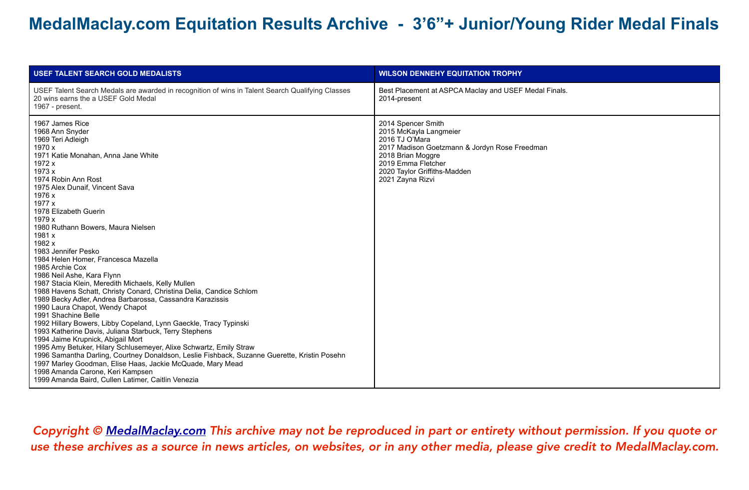| <b>USEF TALENT SEARCH GOLD MEDALISTS</b>                                                                                                                                                                                                                                                                                                                                                                                                                                                                                                                                                                                                                                                                                                                                                                                                                                                                                                                                                                                                                                                                                                                                    | <b>WILSON DENNEHY EQUITATION TROPHY</b>                                                                                                                                                                        |
|-----------------------------------------------------------------------------------------------------------------------------------------------------------------------------------------------------------------------------------------------------------------------------------------------------------------------------------------------------------------------------------------------------------------------------------------------------------------------------------------------------------------------------------------------------------------------------------------------------------------------------------------------------------------------------------------------------------------------------------------------------------------------------------------------------------------------------------------------------------------------------------------------------------------------------------------------------------------------------------------------------------------------------------------------------------------------------------------------------------------------------------------------------------------------------|----------------------------------------------------------------------------------------------------------------------------------------------------------------------------------------------------------------|
| USEF Talent Search Medals are awarded in recognition of wins in Talent Search Qualifying Classes<br>20 wins earns the a USEF Gold Medal<br>1967 - present.                                                                                                                                                                                                                                                                                                                                                                                                                                                                                                                                                                                                                                                                                                                                                                                                                                                                                                                                                                                                                  | Best Placement at ASPCA Maclay and USEF Medal Finals.<br>2014-present                                                                                                                                          |
| 1967 James Rice<br>1968 Ann Snyder<br>1969 Teri Adleigh<br>1970 x<br>1971 Katie Monahan, Anna Jane White<br>1972 x<br>1973 x<br>1974 Robin Ann Rost<br>1975 Alex Dunaif, Vincent Sava<br>1976 x<br>1977 x<br>1978 Elizabeth Guerin<br>1979 x<br>1980 Ruthann Bowers, Maura Nielsen<br>1981 x<br>1982 x<br>1983 Jennifer Pesko<br>1984 Helen Homer, Francesca Mazella<br>1985 Archie Cox<br>1986 Neil Ashe, Kara Flynn<br>1987 Stacia Klein, Meredith Michaels, Kelly Mullen<br>1988 Havens Schatt, Christy Conard, Christina Delia, Candice Schlom<br>1989 Becky Adler, Andrea Barbarossa, Cassandra Karazissis<br>1990 Laura Chapot, Wendy Chapot<br>1991 Shachine Belle<br>1992 Hillary Bowers, Libby Copeland, Lynn Gaeckle, Tracy Typinski<br>1993 Katherine Davis, Juliana Starbuck, Terry Stephens<br>1994 Jaime Krupnick, Abigail Mort<br>1995 Amy Betuker, Hilary Schlusemeyer, Alixe Schwartz, Emily Straw<br>1996 Samantha Darling, Courtney Donaldson, Leslie Fishback, Suzanne Guerette, Kristin Posehn<br>1997 Marley Goodman, Elise Haas, Jackie McQuade, Mary Mead<br>1998 Amanda Carone, Keri Kampsen<br>1999 Amanda Baird, Cullen Latimer, Caitlin Venezia | 2014 Spencer Smith<br>2015 McKayla Langmeier<br>2016 TJ O'Mara<br>2017 Madison Goetzmann & Jordyn Rose Freedman<br>2018 Brian Moggre<br>2019 Emma Fletcher<br>2020 Taylor Griffiths-Madden<br>2021 Zayna Rizvi |